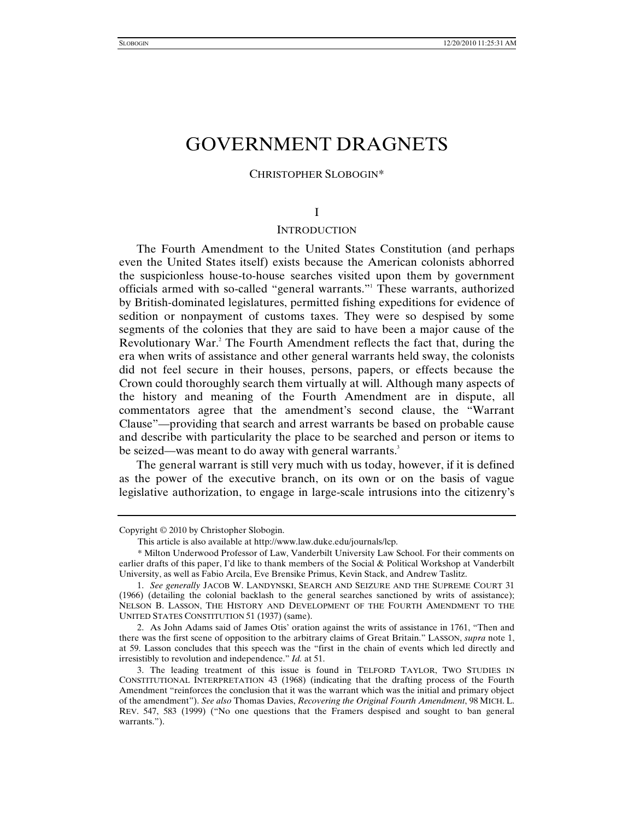# GOVERNMENT DRAGNETS

# CHRISTOPHER SLOBOGIN\*

### I

### **INTRODUCTION**

The Fourth Amendment to the United States Constitution (and perhaps even the United States itself) exists because the American colonists abhorred the suspicionless house-to-house searches visited upon them by government officials armed with so-called "general warrants."1 These warrants, authorized by British-dominated legislatures, permitted fishing expeditions for evidence of sedition or nonpayment of customs taxes. They were so despised by some segments of the colonies that they are said to have been a major cause of the Revolutionary War.<sup>2</sup> The Fourth Amendment reflects the fact that, during the era when writs of assistance and other general warrants held sway, the colonists did not feel secure in their houses, persons, papers, or effects because the Crown could thoroughly search them virtually at will. Although many aspects of the history and meaning of the Fourth Amendment are in dispute, all commentators agree that the amendment's second clause, the "Warrant Clause"—providing that search and arrest warrants be based on probable cause and describe with particularity the place to be searched and person or items to be seized—was meant to do away with general warrants.<sup>3</sup>

The general warrant is still very much with us today, however, if it is defined as the power of the executive branch, on its own or on the basis of vague legislative authorization, to engage in large-scale intrusions into the citizenry's

Copyright © 2010 by Christopher Slobogin.

This article is also available at http://www.law.duke.edu/journals/lcp.

 <sup>\*</sup> Milton Underwood Professor of Law, Vanderbilt University Law School. For their comments on earlier drafts of this paper, I'd like to thank members of the Social & Political Workshop at Vanderbilt University, as well as Fabio Arcila, Eve Brensike Primus, Kevin Stack, and Andrew Taslitz.

<sup>1.</sup> *See generally* JACOB W. LANDYNSKI, SEARCH AND SEIZURE AND THE SUPREME COURT 31 (1966) (detailing the colonial backlash to the general searches sanctioned by writs of assistance); NELSON B. LASSON, THE HISTORY AND DEVELOPMENT OF THE FOURTH AMENDMENT TO THE UNITED STATES CONSTITUTION 51 (1937) (same).

 <sup>2.</sup> As John Adams said of James Otis' oration against the writs of assistance in 1761, "Then and there was the first scene of opposition to the arbitrary claims of Great Britain." LASSON, *supra* note 1, at 59. Lasson concludes that this speech was the "first in the chain of events which led directly and irresistibly to revolution and independence." *Id.* at 51.

 <sup>3.</sup> The leading treatment of this issue is found in TELFORD TAYLOR, TWO STUDIES IN CONSTITUTIONAL INTERPRETATION 43 (1968) (indicating that the drafting process of the Fourth Amendment "reinforces the conclusion that it was the warrant which was the initial and primary object of the amendment"). *See also* Thomas Davies, *Recovering the Original Fourth Amendment*, 98 MICH. L. REV. 547, 583 (1999) ("No one questions that the Framers despised and sought to ban general warrants.").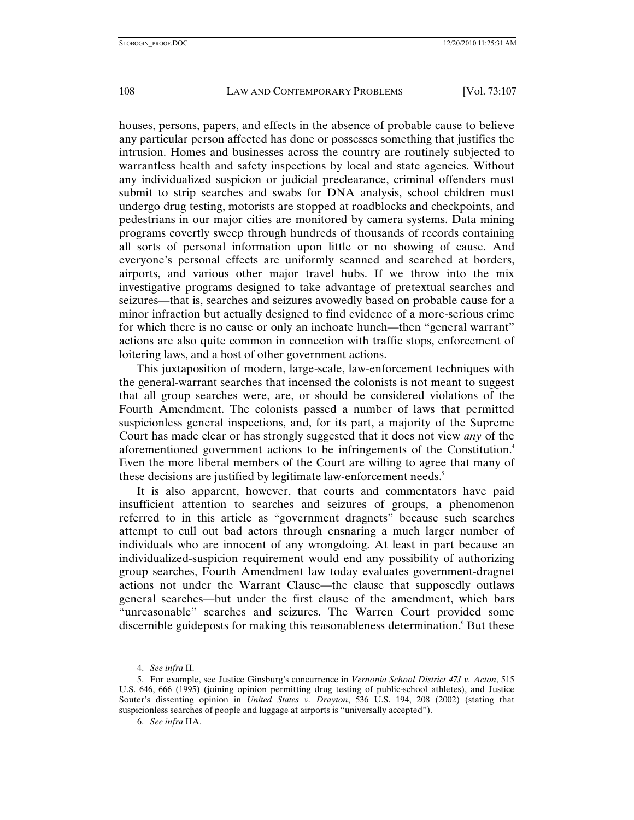houses, persons, papers, and effects in the absence of probable cause to believe any particular person affected has done or possesses something that justifies the intrusion. Homes and businesses across the country are routinely subjected to warrantless health and safety inspections by local and state agencies. Without any individualized suspicion or judicial preclearance, criminal offenders must submit to strip searches and swabs for DNA analysis, school children must undergo drug testing, motorists are stopped at roadblocks and checkpoints, and pedestrians in our major cities are monitored by camera systems. Data mining programs covertly sweep through hundreds of thousands of records containing all sorts of personal information upon little or no showing of cause. And everyone's personal effects are uniformly scanned and searched at borders, airports, and various other major travel hubs. If we throw into the mix investigative programs designed to take advantage of pretextual searches and seizures—that is, searches and seizures avowedly based on probable cause for a minor infraction but actually designed to find evidence of a more-serious crime for which there is no cause or only an inchoate hunch—then "general warrant" actions are also quite common in connection with traffic stops, enforcement of loitering laws, and a host of other government actions.

This juxtaposition of modern, large-scale, law-enforcement techniques with the general-warrant searches that incensed the colonists is not meant to suggest that all group searches were, are, or should be considered violations of the Fourth Amendment. The colonists passed a number of laws that permitted suspicionless general inspections, and, for its part, a majority of the Supreme Court has made clear or has strongly suggested that it does not view *any* of the aforementioned government actions to be infringements of the Constitution.<sup>4</sup> Even the more liberal members of the Court are willing to agree that many of these decisions are justified by legitimate law-enforcement needs.<sup>5</sup>

It is also apparent, however, that courts and commentators have paid insufficient attention to searches and seizures of groups, a phenomenon referred to in this article as "government dragnets" because such searches attempt to cull out bad actors through ensnaring a much larger number of individuals who are innocent of any wrongdoing. At least in part because an individualized-suspicion requirement would end any possibility of authorizing group searches, Fourth Amendment law today evaluates government-dragnet actions not under the Warrant Clause—the clause that supposedly outlaws general searches—but under the first clause of the amendment, which bars "unreasonable" searches and seizures. The Warren Court provided some discernible guideposts for making this reasonableness determination.<sup>6</sup> But these

<sup>4.</sup> *See infra* II.

 <sup>5.</sup> For example, see Justice Ginsburg's concurrence in *Vernonia School District 47J v. Acton*, 515 U.S. 646, 666 (1995) (joining opinion permitting drug testing of public-school athletes), and Justice Souter's dissenting opinion in *United States v. Drayton*, 536 U.S. 194, 208 (2002) (stating that suspicionless searches of people and luggage at airports is "universally accepted").

<sup>6.</sup> *See infra* IIA.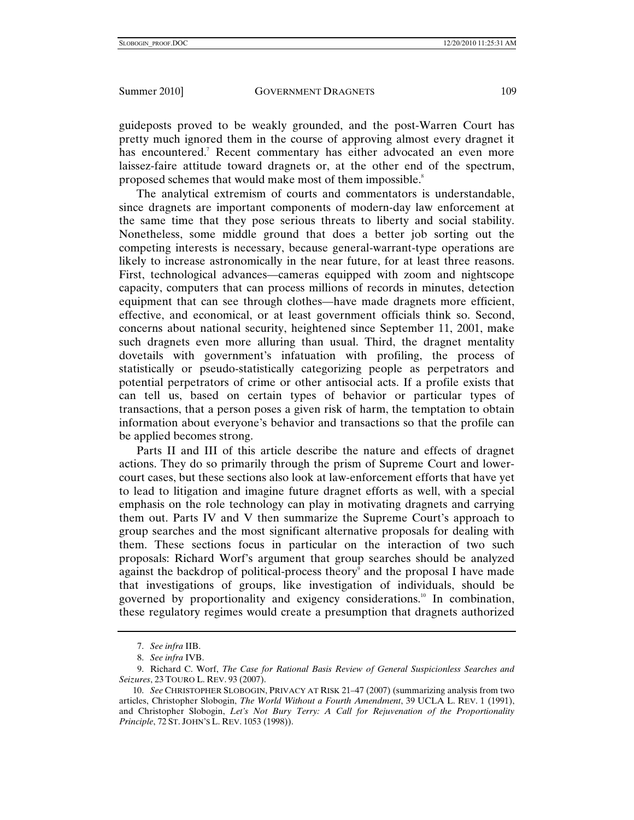guideposts proved to be weakly grounded, and the post-Warren Court has pretty much ignored them in the course of approving almost every dragnet it has encountered.<sup>7</sup> Recent commentary has either advocated an even more laissez-faire attitude toward dragnets or, at the other end of the spectrum, proposed schemes that would make most of them impossible.<sup>8</sup>

The analytical extremism of courts and commentators is understandable, since dragnets are important components of modern-day law enforcement at the same time that they pose serious threats to liberty and social stability. Nonetheless, some middle ground that does a better job sorting out the competing interests is necessary, because general-warrant-type operations are likely to increase astronomically in the near future, for at least three reasons. First, technological advances—cameras equipped with zoom and nightscope capacity, computers that can process millions of records in minutes, detection equipment that can see through clothes—have made dragnets more efficient, effective, and economical, or at least government officials think so. Second, concerns about national security, heightened since September 11, 2001, make such dragnets even more alluring than usual. Third, the dragnet mentality dovetails with government's infatuation with profiling, the process of statistically or pseudo-statistically categorizing people as perpetrators and potential perpetrators of crime or other antisocial acts. If a profile exists that can tell us, based on certain types of behavior or particular types of transactions, that a person poses a given risk of harm, the temptation to obtain information about everyone's behavior and transactions so that the profile can be applied becomes strong.

Parts II and III of this article describe the nature and effects of dragnet actions. They do so primarily through the prism of Supreme Court and lowercourt cases, but these sections also look at law-enforcement efforts that have yet to lead to litigation and imagine future dragnet efforts as well, with a special emphasis on the role technology can play in motivating dragnets and carrying them out. Parts IV and V then summarize the Supreme Court's approach to group searches and the most significant alternative proposals for dealing with them. These sections focus in particular on the interaction of two such proposals: Richard Worf's argument that group searches should be analyzed against the backdrop of political-process theory<sup>9</sup> and the proposal I have made that investigations of groups, like investigation of individuals, should be governed by proportionality and exigency considerations.<sup>10</sup> In combination, these regulatory regimes would create a presumption that dragnets authorized

<sup>7.</sup> *See infra* IIB.

<sup>8.</sup> *See infra* IVB.

 <sup>9.</sup> Richard C. Worf, *The Case for Rational Basis Review of General Suspicionless Searches and Seizures*, 23 TOURO L. REV. 93 (2007).

<sup>10.</sup> *See* CHRISTOPHER SLOBOGIN, PRIVACY AT RISK 21–47 (2007) (summarizing analysis from two articles, Christopher Slobogin, *The World Without a Fourth Amendment*, 39 UCLA L. REV. 1 (1991), and Christopher Slobogin, *Let's Not Bury Terry: A Call for Rejuvenation of the Proportionality Principle*, 72 ST. JOHN'S L. REV. 1053 (1998)).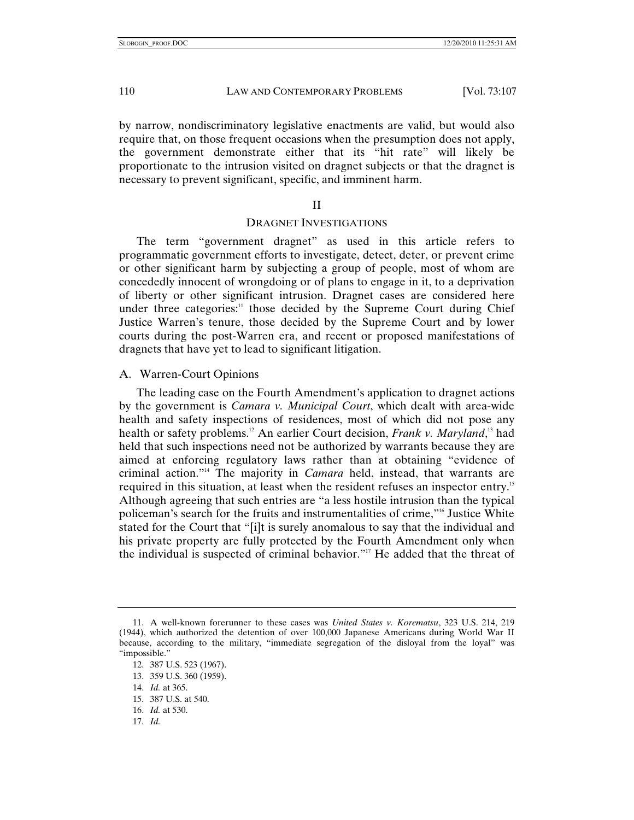by narrow, nondiscriminatory legislative enactments are valid, but would also require that, on those frequent occasions when the presumption does not apply, the government demonstrate either that its "hit rate" will likely be proportionate to the intrusion visited on dragnet subjects or that the dragnet is necessary to prevent significant, specific, and imminent harm.

### II

### DRAGNET INVESTIGATIONS

The term "government dragnet" as used in this article refers to programmatic government efforts to investigate, detect, deter, or prevent crime or other significant harm by subjecting a group of people, most of whom are concededly innocent of wrongdoing or of plans to engage in it, to a deprivation of liberty or other significant intrusion. Dragnet cases are considered here under three categories:<sup>11</sup> those decided by the Supreme Court during Chief Justice Warren's tenure, those decided by the Supreme Court and by lower courts during the post-Warren era, and recent or proposed manifestations of dragnets that have yet to lead to significant litigation.

### A. Warren-Court Opinions

The leading case on the Fourth Amendment's application to dragnet actions by the government is *Camara v. Municipal Court*, which dealt with area-wide health and safety inspections of residences, most of which did not pose any health or safety problems.<sup>12</sup> An earlier Court decision, *Frank v. Maryland*,<sup>13</sup> had held that such inspections need not be authorized by warrants because they are aimed at enforcing regulatory laws rather than at obtaining "evidence of criminal action."14 The majority in *Camara* held, instead, that warrants are required in this situation, at least when the resident refuses an inspector entry.15 Although agreeing that such entries are "a less hostile intrusion than the typical policeman's search for the fruits and instrumentalities of crime,"16 Justice White stated for the Court that "[i]t is surely anomalous to say that the individual and his private property are fully protected by the Fourth Amendment only when the individual is suspected of criminal behavior."<sup>17</sup> He added that the threat of

17. *Id.*

 <sup>11.</sup> A well-known forerunner to these cases was *United States v. Korematsu*, 323 U.S. 214, 219 (1944), which authorized the detention of over 100,000 Japanese Americans during World War II because, according to the military, "immediate segregation of the disloyal from the loyal" was "impossible."

 <sup>12. 387</sup> U.S. 523 (1967).

 <sup>13. 359</sup> U.S. 360 (1959).

<sup>14.</sup> *Id.* at 365.

 <sup>15. 387</sup> U.S. at 540.

<sup>16.</sup> *Id.* at 530.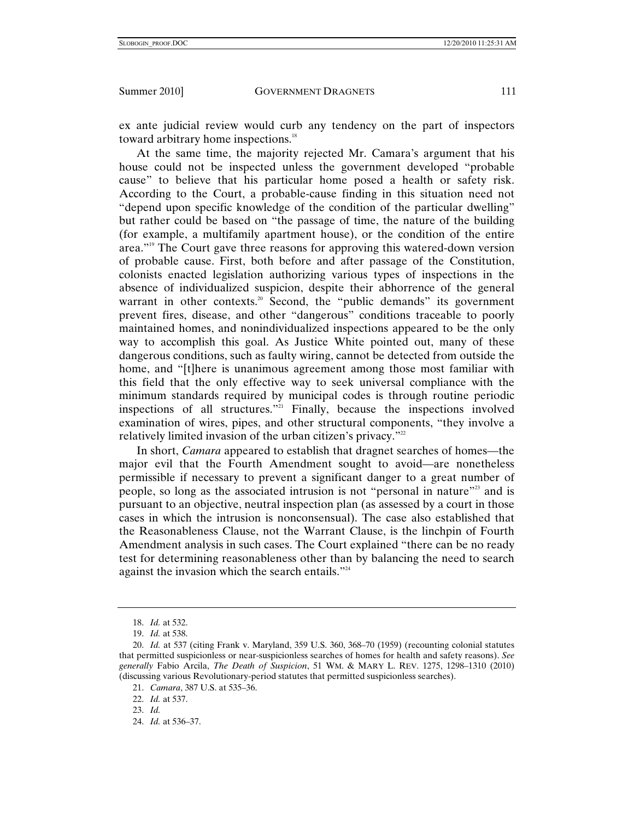ex ante judicial review would curb any tendency on the part of inspectors toward arbitrary home inspections.<sup>18</sup>

At the same time, the majority rejected Mr. Camara's argument that his house could not be inspected unless the government developed "probable cause" to believe that his particular home posed a health or safety risk. According to the Court, a probable-cause finding in this situation need not "depend upon specific knowledge of the condition of the particular dwelling" but rather could be based on "the passage of time, the nature of the building (for example, a multifamily apartment house), or the condition of the entire area."19 The Court gave three reasons for approving this watered-down version of probable cause. First, both before and after passage of the Constitution, colonists enacted legislation authorizing various types of inspections in the absence of individualized suspicion, despite their abhorrence of the general warrant in other contexts.<sup>20</sup> Second, the "public demands" its government prevent fires, disease, and other "dangerous" conditions traceable to poorly maintained homes, and nonindividualized inspections appeared to be the only way to accomplish this goal. As Justice White pointed out, many of these dangerous conditions, such as faulty wiring, cannot be detected from outside the home, and "[t]here is unanimous agreement among those most familiar with this field that the only effective way to seek universal compliance with the minimum standards required by municipal codes is through routine periodic inspections of all structures."21 Finally, because the inspections involved examination of wires, pipes, and other structural components, "they involve a relatively limited invasion of the urban citizen's privacy."<sup>22</sup>

In short, *Camara* appeared to establish that dragnet searches of homes—the major evil that the Fourth Amendment sought to avoid—are nonetheless permissible if necessary to prevent a significant danger to a great number of people, so long as the associated intrusion is not "personal in nature"23 and is pursuant to an objective, neutral inspection plan (as assessed by a court in those cases in which the intrusion is nonconsensual). The case also established that the Reasonableness Clause, not the Warrant Clause, is the linchpin of Fourth Amendment analysis in such cases. The Court explained "there can be no ready test for determining reasonableness other than by balancing the need to search against the invasion which the search entails."<sup>24</sup>

<sup>18.</sup> *Id.* at 532.

<sup>19.</sup> *Id.* at 538.

<sup>20.</sup> *Id.* at 537 (citing Frank v. Maryland, 359 U.S. 360, 368–70 (1959) (recounting colonial statutes that permitted suspicionless or near-suspicionless searches of homes for health and safety reasons). *See generally* Fabio Arcila, *The Death of Suspicion*, 51 WM. & MARY L. REV. 1275, 1298–1310 (2010) (discussing various Revolutionary-period statutes that permitted suspicionless searches).

<sup>21.</sup> *Camara*, 387 U.S. at 535–36.

<sup>22.</sup> *Id.* at 537.

<sup>23.</sup> *Id.*

<sup>24.</sup> *Id.* at 536–37.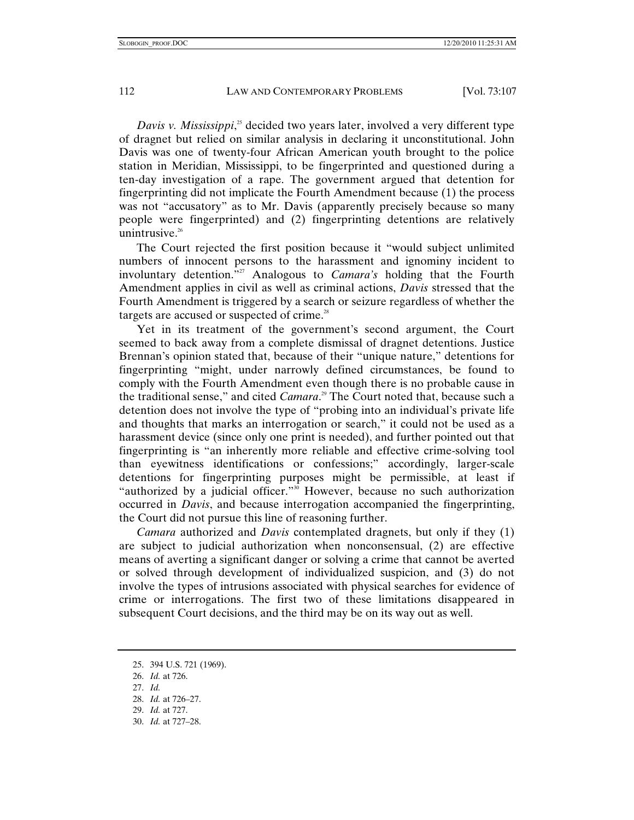Davis v. Mississippi,<sup>25</sup> decided two years later, involved a very different type of dragnet but relied on similar analysis in declaring it unconstitutional. John Davis was one of twenty-four African American youth brought to the police station in Meridian, Mississippi, to be fingerprinted and questioned during a ten-day investigation of a rape. The government argued that detention for fingerprinting did not implicate the Fourth Amendment because (1) the process was not "accusatory" as to Mr. Davis (apparently precisely because so many people were fingerprinted) and (2) fingerprinting detentions are relatively unintrusive. $26$ 

The Court rejected the first position because it "would subject unlimited numbers of innocent persons to the harassment and ignominy incident to involuntary detention.<sup>"27</sup> Analogous to *Camara's* holding that the Fourth Amendment applies in civil as well as criminal actions, *Davis* stressed that the Fourth Amendment is triggered by a search or seizure regardless of whether the targets are accused or suspected of crime. $28$ 

Yet in its treatment of the government's second argument, the Court seemed to back away from a complete dismissal of dragnet detentions. Justice Brennan's opinion stated that, because of their "unique nature," detentions for fingerprinting "might, under narrowly defined circumstances, be found to comply with the Fourth Amendment even though there is no probable cause in the traditional sense," and cited *Camara*. 29 The Court noted that, because such a detention does not involve the type of "probing into an individual's private life and thoughts that marks an interrogation or search," it could not be used as a harassment device (since only one print is needed), and further pointed out that fingerprinting is "an inherently more reliable and effective crime-solving tool than eyewitness identifications or confessions;" accordingly, larger-scale detentions for fingerprinting purposes might be permissible, at least if "authorized by a judicial officer."<sup>30</sup> However, because no such authorization occurred in *Davis*, and because interrogation accompanied the fingerprinting, the Court did not pursue this line of reasoning further.

*Camara* authorized and *Davis* contemplated dragnets, but only if they (1) are subject to judicial authorization when nonconsensual, (2) are effective means of averting a significant danger or solving a crime that cannot be averted or solved through development of individualized suspicion, and (3) do not involve the types of intrusions associated with physical searches for evidence of crime or interrogations. The first two of these limitations disappeared in subsequent Court decisions, and the third may be on its way out as well.

- 29. *Id.* at 727.
- 30. *Id.* at 727–28.

 <sup>25. 394</sup> U.S. 721 (1969).

<sup>26.</sup> *Id.* at 726.

<sup>27.</sup> *Id.*

<sup>28.</sup> *Id.* at 726–27.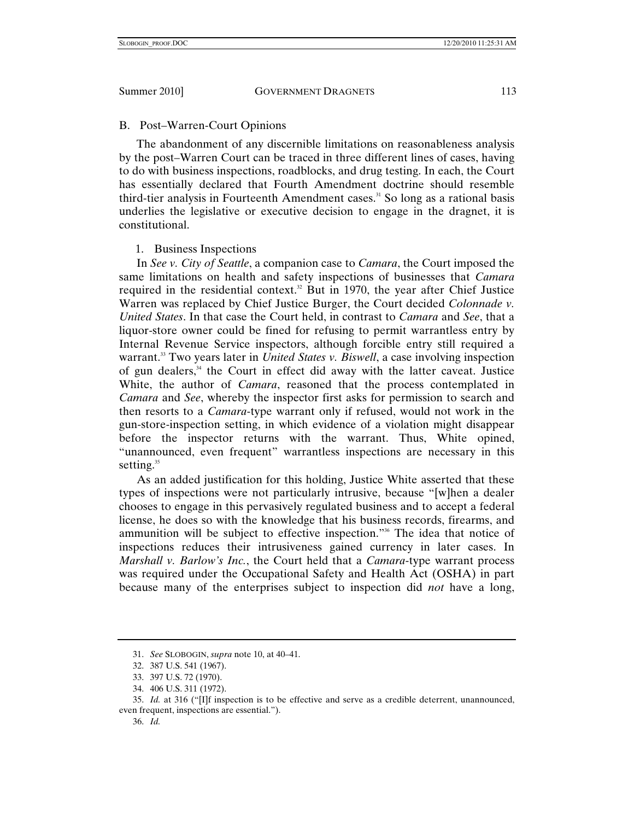# B. Post–Warren-Court Opinions

The abandonment of any discernible limitations on reasonableness analysis by the post–Warren Court can be traced in three different lines of cases, having to do with business inspections, roadblocks, and drug testing. In each, the Court has essentially declared that Fourth Amendment doctrine should resemble third-tier analysis in Fourteenth Amendment cases.<sup>31</sup> So long as a rational basis underlies the legislative or executive decision to engage in the dragnet, it is constitutional.

# 1. Business Inspections

In *See v. City of Seattle*, a companion case to *Camara*, the Court imposed the same limitations on health and safety inspections of businesses that *Camara* required in the residential context.<sup>32</sup> But in 1970, the year after Chief Justice Warren was replaced by Chief Justice Burger, the Court decided *Colonnade v. United States*. In that case the Court held, in contrast to *Camara* and *See*, that a liquor-store owner could be fined for refusing to permit warrantless entry by Internal Revenue Service inspectors, although forcible entry still required a warrant.<sup>33</sup> Two years later in *United States v. Biswell*, a case involving inspection of gun dealers, $34$  the Court in effect did away with the latter caveat. Justice White, the author of *Camara*, reasoned that the process contemplated in *Camara* and *See*, whereby the inspector first asks for permission to search and then resorts to a *Camara*-type warrant only if refused, would not work in the gun-store-inspection setting, in which evidence of a violation might disappear before the inspector returns with the warrant. Thus, White opined, "unannounced, even frequent" warrantless inspections are necessary in this setting. $35$ 

As an added justification for this holding, Justice White asserted that these types of inspections were not particularly intrusive, because "[w]hen a dealer chooses to engage in this pervasively regulated business and to accept a federal license, he does so with the knowledge that his business records, firearms, and ammunition will be subject to effective inspection."36 The idea that notice of inspections reduces their intrusiveness gained currency in later cases. In *Marshall v. Barlow's Inc.*, the Court held that a *Camara*-type warrant process was required under the Occupational Safety and Health Act (OSHA) in part because many of the enterprises subject to inspection did *not* have a long,

<sup>31.</sup> *See* SLOBOGIN, *supra* note 10, at 40–41.

 <sup>32. 387</sup> U.S. 541 (1967).

 <sup>33. 397</sup> U.S. 72 (1970).

 <sup>34. 406</sup> U.S. 311 (1972).

<sup>35.</sup> *Id.* at 316 ("[I]f inspection is to be effective and serve as a credible deterrent, unannounced, even frequent, inspections are essential.").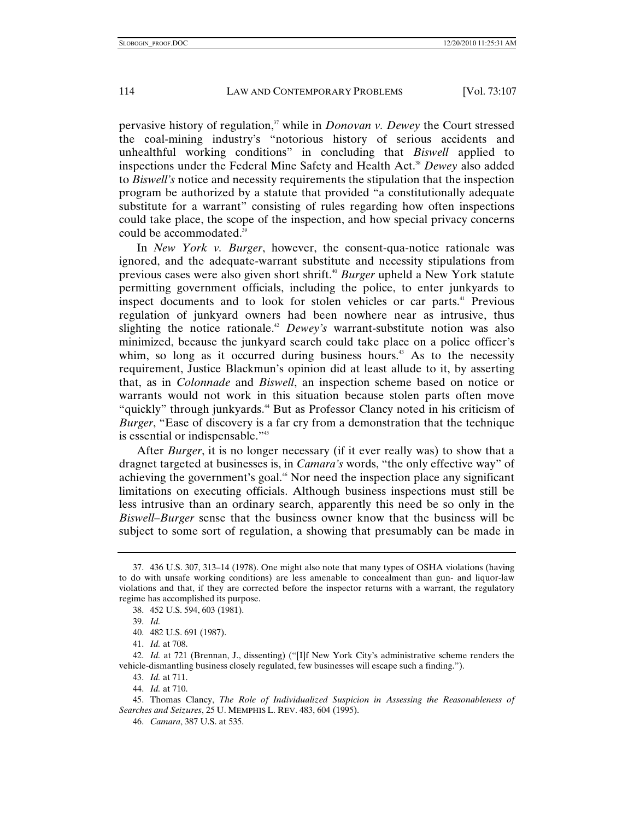pervasive history of regulation,<sup>37</sup> while in *Donovan v. Dewey* the Court stressed the coal-mining industry's "notorious history of serious accidents and unhealthful working conditions" in concluding that *Biswell* applied to inspections under the Federal Mine Safety and Health Act.<sup>38</sup> *Dewey* also added to *Biswell's* notice and necessity requirements the stipulation that the inspection program be authorized by a statute that provided "a constitutionally adequate substitute for a warrant" consisting of rules regarding how often inspections could take place, the scope of the inspection, and how special privacy concerns could be accommodated.<sup>39</sup>

In *New York v. Burger*, however, the consent-qua-notice rationale was ignored, and the adequate-warrant substitute and necessity stipulations from previous cases were also given short shrift.40 *Burger* upheld a New York statute permitting government officials, including the police, to enter junkyards to inspect documents and to look for stolen vehicles or car parts.<sup>41</sup> Previous regulation of junkyard owners had been nowhere near as intrusive, thus slighting the notice rationale.<sup>42</sup> *Dewey's* warrant-substitute notion was also minimized, because the junkyard search could take place on a police officer's whim, so long as it occurred during business hours.<sup>43</sup> As to the necessity requirement, Justice Blackmun's opinion did at least allude to it, by asserting that, as in *Colonnade* and *Biswell*, an inspection scheme based on notice or warrants would not work in this situation because stolen parts often move "quickly" through junkyards.<sup>44</sup> But as Professor Clancy noted in his criticism of *Burger*, "Ease of discovery is a far cry from a demonstration that the technique is essential or indispensable."<sup>45</sup>

After *Burger*, it is no longer necessary (if it ever really was) to show that a dragnet targeted at businesses is, in *Camara's* words, "the only effective way" of achieving the government's goal.<sup>46</sup> Nor need the inspection place any significant limitations on executing officials. Although business inspections must still be less intrusive than an ordinary search, apparently this need be so only in the *Biswell–Burger* sense that the business owner know that the business will be subject to some sort of regulation, a showing that presumably can be made in

<sup>37.</sup> 436 U.S. 307, 313–14 (1978). One might also note that many types of OSHA violations (having to do with unsafe working conditions) are less amenable to concealment than gun- and liquor-law violations and that, if they are corrected before the inspector returns with a warrant, the regulatory regime has accomplished its purpose.

 <sup>38. 452</sup> U.S. 594, 603 (1981).

<sup>39.</sup> *Id.*

 <sup>40. 482</sup> U.S. 691 (1987).

<sup>41.</sup> *Id.* at 708.

<sup>42.</sup> *Id.* at 721 (Brennan, J., dissenting) ("[I]f New York City's administrative scheme renders the vehicle-dismantling business closely regulated, few businesses will escape such a finding.").

<sup>43.</sup> *Id.* at 711.

<sup>44.</sup> *Id.* at 710.

 <sup>45.</sup> Thomas Clancy, *The Role of Individualized Suspicion in Assessing the Reasonableness of Searches and Seizures*, 25 U. MEMPHIS L. REV. 483, 604 (1995).

<sup>46.</sup> *Camara*, 387 U.S. at 535.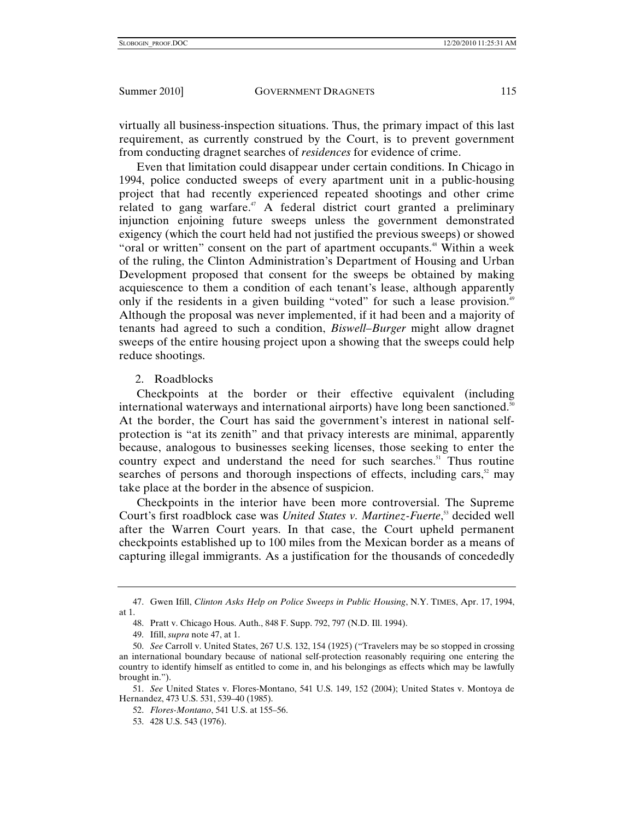virtually all business-inspection situations. Thus, the primary impact of this last requirement, as currently construed by the Court, is to prevent government from conducting dragnet searches of *residences* for evidence of crime.

Even that limitation could disappear under certain conditions. In Chicago in 1994, police conducted sweeps of every apartment unit in a public-housing project that had recently experienced repeated shootings and other crime related to gang warfare.<sup>47</sup> A federal district court granted a preliminary injunction enjoining future sweeps unless the government demonstrated exigency (which the court held had not justified the previous sweeps) or showed "oral or written" consent on the part of apartment occupants.<sup>48</sup> Within a week of the ruling, the Clinton Administration's Department of Housing and Urban Development proposed that consent for the sweeps be obtained by making acquiescence to them a condition of each tenant's lease, although apparently only if the residents in a given building "voted" for such a lease provision.<sup>49</sup> Although the proposal was never implemented, if it had been and a majority of tenants had agreed to such a condition, *Biswell–Burger* might allow dragnet sweeps of the entire housing project upon a showing that the sweeps could help reduce shootings.

# 2. Roadblocks

Checkpoints at the border or their effective equivalent (including international waterways and international airports) have long been sanctioned.<sup>50</sup> At the border, the Court has said the government's interest in national selfprotection is "at its zenith" and that privacy interests are minimal, apparently because, analogous to businesses seeking licenses, those seeking to enter the country expect and understand the need for such searches.<sup>51</sup> Thus routine searches of persons and thorough inspections of effects, including cars, $\frac{5}{2}$  may take place at the border in the absence of suspicion.

Checkpoints in the interior have been more controversial. The Supreme Court's first roadblock case was *United States v. Martinez-Fuerte*, 53 decided well after the Warren Court years. In that case, the Court upheld permanent checkpoints established up to 100 miles from the Mexican border as a means of capturing illegal immigrants. As a justification for the thousands of concededly

 <sup>47.</sup> Gwen Ifill, *Clinton Asks Help on Police Sweeps in Public Housing*, N.Y. TIMES, Apr. 17, 1994, at 1.

 <sup>48.</sup> Pratt v. Chicago Hous. Auth., 848 F. Supp. 792, 797 (N.D. Ill. 1994).

 <sup>49.</sup> Ifill, *supra* note 47, at 1.

<sup>50.</sup> *See* Carroll v. United States, 267 U.S. 132, 154 (1925) ("Travelers may be so stopped in crossing an international boundary because of national self-protection reasonably requiring one entering the country to identify himself as entitled to come in, and his belongings as effects which may be lawfully brought in.").

<sup>51.</sup> *See* United States v. Flores-Montano, 541 U.S. 149, 152 (2004); United States v. Montoya de Hernandez, 473 U.S. 531, 539–40 (1985).

<sup>52.</sup> *Flores-Montano*, 541 U.S. at 155–56.

 <sup>53. 428</sup> U.S. 543 (1976).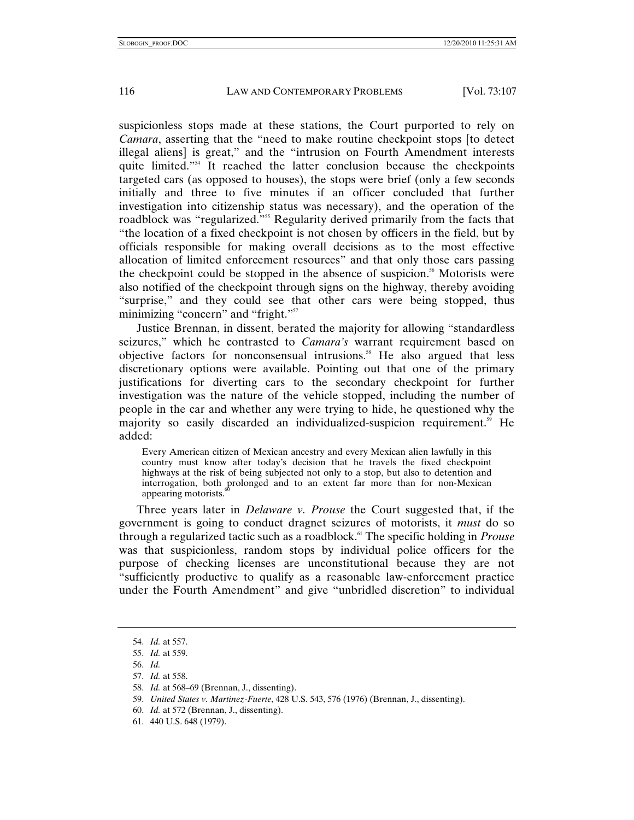suspicionless stops made at these stations, the Court purported to rely on *Camara*, asserting that the "need to make routine checkpoint stops [to detect illegal aliens] is great," and the "intrusion on Fourth Amendment interests quite limited."<sup>54</sup> It reached the latter conclusion because the checkpoints targeted cars (as opposed to houses), the stops were brief (only a few seconds initially and three to five minutes if an officer concluded that further investigation into citizenship status was necessary), and the operation of the roadblock was "regularized."<sup>555</sup> Regularity derived primarily from the facts that "the location of a fixed checkpoint is not chosen by officers in the field, but by officials responsible for making overall decisions as to the most effective allocation of limited enforcement resources" and that only those cars passing the checkpoint could be stopped in the absence of suspicion.<sup>56</sup> Motorists were also notified of the checkpoint through signs on the highway, thereby avoiding "surprise," and they could see that other cars were being stopped, thus minimizing "concern" and "fright."<sup>57</sup>

Justice Brennan, in dissent, berated the majority for allowing "standardless seizures," which he contrasted to *Camara's* warrant requirement based on objective factors for nonconsensual intrusions.<sup>58</sup> He also argued that less discretionary options were available. Pointing out that one of the primary justifications for diverting cars to the secondary checkpoint for further investigation was the nature of the vehicle stopped, including the number of people in the car and whether any were trying to hide, he questioned why the majority so easily discarded an individualized-suspicion requirement.<sup>59</sup> He added:

Every American citizen of Mexican ancestry and every Mexican alien lawfully in this country must know after today's decision that he travels the fixed checkpoint highways at the risk of being subjected not only to a stop, but also to detention and interrogation, both prolonged and to an extent far more than for non-Mexican appearing motorists.

Three years later in *Delaware v. Prouse* the Court suggested that, if the government is going to conduct dragnet seizures of motorists, it *must* do so through a regularized tactic such as a roadblock.<sup>61</sup> The specific holding in *Prouse* was that suspicionless, random stops by individual police officers for the purpose of checking licenses are unconstitutional because they are not "sufficiently productive to qualify as a reasonable law-enforcement practice under the Fourth Amendment" and give "unbridled discretion" to individual

<sup>54.</sup> *Id.* at 557.

<sup>55.</sup> *Id.* at 559.

<sup>56.</sup> *Id.*

<sup>57.</sup> *Id.* at 558.

<sup>58.</sup> *Id.* at 568–69 (Brennan, J., dissenting).

<sup>59.</sup> *United States v. Martinez-Fuerte*, 428 U.S. 543, 576 (1976) (Brennan, J., dissenting).

<sup>60.</sup> *Id.* at 572 (Brennan, J., dissenting).

 <sup>61. 440</sup> U.S. 648 (1979).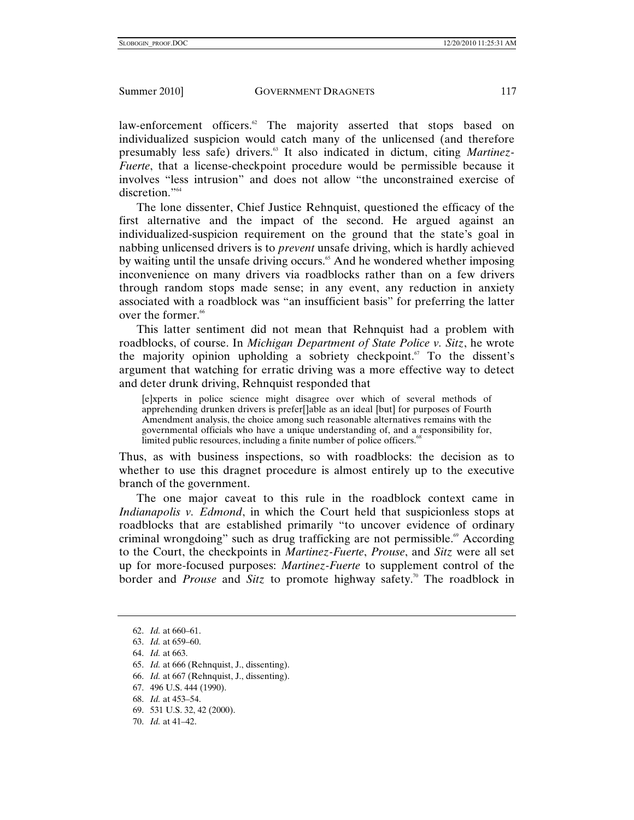law-enforcement officers.<sup>62</sup> The majority asserted that stops based on individualized suspicion would catch many of the unlicensed (and therefore presumably less safe) drivers.<sup>63</sup> It also indicated in dictum, citing *Martinez*-*Fuerte*, that a license-checkpoint procedure would be permissible because it involves "less intrusion" and does not allow "the unconstrained exercise of discretion."64

The lone dissenter, Chief Justice Rehnquist, questioned the efficacy of the first alternative and the impact of the second. He argued against an individualized-suspicion requirement on the ground that the state's goal in nabbing unlicensed drivers is to *prevent* unsafe driving, which is hardly achieved by waiting until the unsafe driving occurs.<sup>65</sup> And he wondered whether imposing inconvenience on many drivers via roadblocks rather than on a few drivers through random stops made sense; in any event, any reduction in anxiety associated with a roadblock was "an insufficient basis" for preferring the latter over the former.<sup>66</sup>

This latter sentiment did not mean that Rehnquist had a problem with roadblocks, of course. In *Michigan Department of State Police v. Sitz*, he wrote the majority opinion upholding a sobriety checkpoint. $\sigma$  To the dissent's argument that watching for erratic driving was a more effective way to detect and deter drunk driving, Rehnquist responded that

[e]xperts in police science might disagree over which of several methods of apprehending drunken drivers is prefer[]able as an ideal [but] for purposes of Fourth Amendment analysis, the choice among such reasonable alternatives remains with the governmental officials who have a unique understanding of, and a responsibility for, limited public resources, including a finite number of police officers.<sup>68</sup>

Thus, as with business inspections, so with roadblocks: the decision as to whether to use this dragnet procedure is almost entirely up to the executive branch of the government.

The one major caveat to this rule in the roadblock context came in *Indianapolis v. Edmond*, in which the Court held that suspicionless stops at roadblocks that are established primarily "to uncover evidence of ordinary criminal wrongdoing" such as drug trafficking are not permissible.<sup> $\omega$ </sup> According to the Court, the checkpoints in *Martinez-Fuerte*, *Prouse*, and *Sitz* were all set up for more-focused purposes: *Martinez-Fuerte* to supplement control of the border and *Prouse* and *Sitz* to promote highway safety.<sup>70</sup> The roadblock in

- 65. *Id.* at 666 (Rehnquist, J., dissenting).
- 66. *Id.* at 667 (Rehnquist, J., dissenting).
- 67. 496 U.S. 444 (1990).
- 68. *Id.* at 453–54.
- 69. 531 U.S. 32, 42 (2000).
- 70. *Id.* at 41–42.

<sup>62.</sup> *Id.* at 660–61.

<sup>63.</sup> *Id.* at 659–60.

<sup>64.</sup> *Id.* at 663.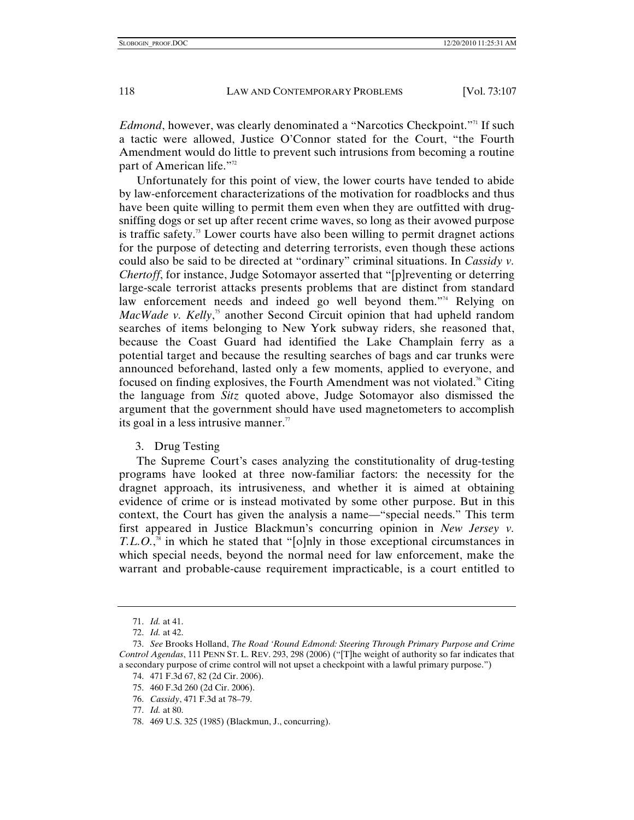*Edmond*, however, was clearly denominated a "Narcotics Checkpoint."<sup>11</sup> If such a tactic were allowed, Justice O'Connor stated for the Court, "the Fourth Amendment would do little to prevent such intrusions from becoming a routine part of American life."<sup>72</sup>

Unfortunately for this point of view, the lower courts have tended to abide by law-enforcement characterizations of the motivation for roadblocks and thus have been quite willing to permit them even when they are outfitted with drugsniffing dogs or set up after recent crime waves, so long as their avowed purpose is traffic safety.<sup>73</sup> Lower courts have also been willing to permit dragnet actions for the purpose of detecting and deterring terrorists, even though these actions could also be said to be directed at "ordinary" criminal situations. In *Cassidy v. Chertoff*, for instance, Judge Sotomayor asserted that "[p]reventing or deterring large-scale terrorist attacks presents problems that are distinct from standard law enforcement needs and indeed go well beyond them."<sup>74</sup> Relying on *MacWade v. Kelly*,<sup>75</sup> another Second Circuit opinion that had upheld random searches of items belonging to New York subway riders, she reasoned that, because the Coast Guard had identified the Lake Champlain ferry as a potential target and because the resulting searches of bags and car trunks were announced beforehand, lasted only a few moments, applied to everyone, and focused on finding explosives, the Fourth Amendment was not violated.<sup>76</sup> Citing the language from *Sitz* quoted above, Judge Sotomayor also dismissed the argument that the government should have used magnetometers to accomplish its goal in a less intrusive manner.<sup>77</sup>

# 3. Drug Testing

The Supreme Court's cases analyzing the constitutionality of drug-testing programs have looked at three now-familiar factors: the necessity for the dragnet approach, its intrusiveness, and whether it is aimed at obtaining evidence of crime or is instead motivated by some other purpose. But in this context, the Court has given the analysis a name—"special needs." This term first appeared in Justice Blackmun's concurring opinion in *New Jersey v. T.L.O.*,<sup>8</sup> in which he stated that "[o]nly in those exceptional circumstances in which special needs, beyond the normal need for law enforcement, make the warrant and probable-cause requirement impracticable, is a court entitled to

<sup>71.</sup> *Id.* at 41.

<sup>72.</sup> *Id.* at 42.

<sup>73.</sup> *See* Brooks Holland, *The Road 'Round Edmond: Steering Through Primary Purpose and Crime Control Agendas*, 111 PENN ST. L. REV. 293, 298 (2006) ("[T]he weight of authority so far indicates that a secondary purpose of crime control will not upset a checkpoint with a lawful primary purpose.")

 <sup>74. 471</sup> F.3d 67, 82 (2d Cir. 2006).

 <sup>75. 460</sup> F.3d 260 (2d Cir. 2006).

<sup>76.</sup> *Cassidy*, 471 F.3d at 78–79.

<sup>77.</sup> *Id.* at 80.

 <sup>78. 469</sup> U.S. 325 (1985) (Blackmun, J., concurring).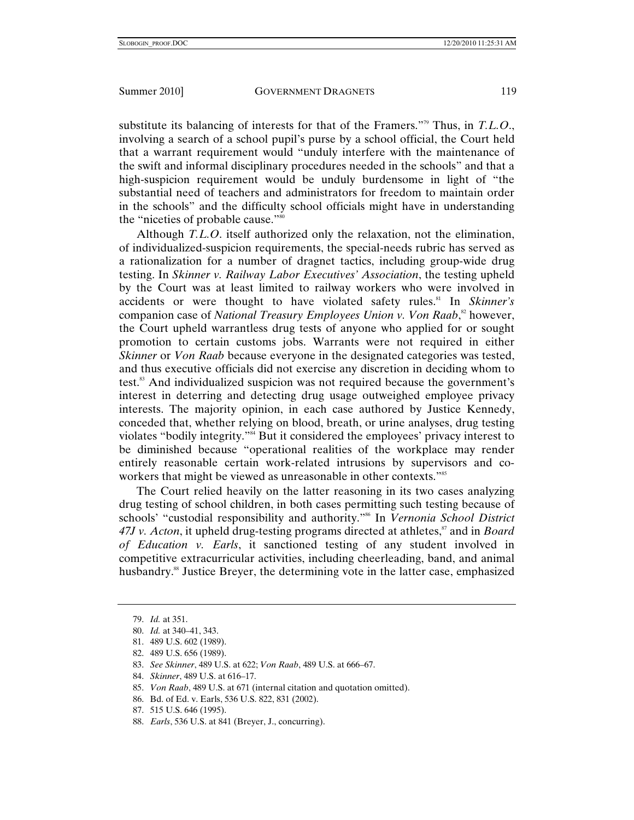substitute its balancing of interests for that of the Framers."79 Thus, in *T.L.O*., involving a search of a school pupil's purse by a school official, the Court held that a warrant requirement would "unduly interfere with the maintenance of the swift and informal disciplinary procedures needed in the schools" and that a high-suspicion requirement would be unduly burdensome in light of "the substantial need of teachers and administrators for freedom to maintain order in the schools" and the difficulty school officials might have in understanding the "niceties of probable cause."80

Although *T.L.O*. itself authorized only the relaxation, not the elimination, of individualized-suspicion requirements, the special-needs rubric has served as a rationalization for a number of dragnet tactics, including group-wide drug testing. In *Skinner v. Railway Labor Executives' Association*, the testing upheld by the Court was at least limited to railway workers who were involved in accidents or were thought to have violated safety rules.<sup>81</sup> In *Skinner's* companion case of *National Treasury Employees Union v. Von Raab*, 82 however, the Court upheld warrantless drug tests of anyone who applied for or sought promotion to certain customs jobs. Warrants were not required in either *Skinner* or *Von Raab* because everyone in the designated categories was tested, and thus executive officials did not exercise any discretion in deciding whom to test.<sup>83</sup> And individualized suspicion was not required because the government's interest in deterring and detecting drug usage outweighed employee privacy interests. The majority opinion, in each case authored by Justice Kennedy, conceded that, whether relying on blood, breath, or urine analyses, drug testing violates "bodily integrity."84 But it considered the employees' privacy interest to be diminished because "operational realities of the workplace may render entirely reasonable certain work-related intrusions by supervisors and coworkers that might be viewed as unreasonable in other contexts."<sup>85</sup>

The Court relied heavily on the latter reasoning in its two cases analyzing drug testing of school children, in both cases permitting such testing because of schools' "custodial responsibility and authority."<sup>86</sup> In *Vernonia School District* 47J v. Acton, it upheld drug-testing programs directed at athletes,<sup>87</sup> and in *Board of Education v. Earls*, it sanctioned testing of any student involved in competitive extracurricular activities, including cheerleading, band, and animal husbandry.<sup>88</sup> Justice Breyer, the determining vote in the latter case, emphasized

- 83. *See Skinner*, 489 U.S. at 622; *Von Raab*, 489 U.S. at 666–67.
- 84. *Skinner*, 489 U.S. at 616–17.
- 85. *Von Raab*, 489 U.S. at 671 (internal citation and quotation omitted).

- 87. 515 U.S. 646 (1995).
- 88. *Earls*, 536 U.S. at 841 (Breyer, J., concurring).

<sup>79.</sup> *Id.* at 351.

<sup>80.</sup> *Id.* at 340–41, 343.

 <sup>81. 489</sup> U.S. 602 (1989).

 <sup>82. 489</sup> U.S. 656 (1989).

 <sup>86.</sup> Bd. of Ed. v. Earls, 536 U.S. 822, 831 (2002).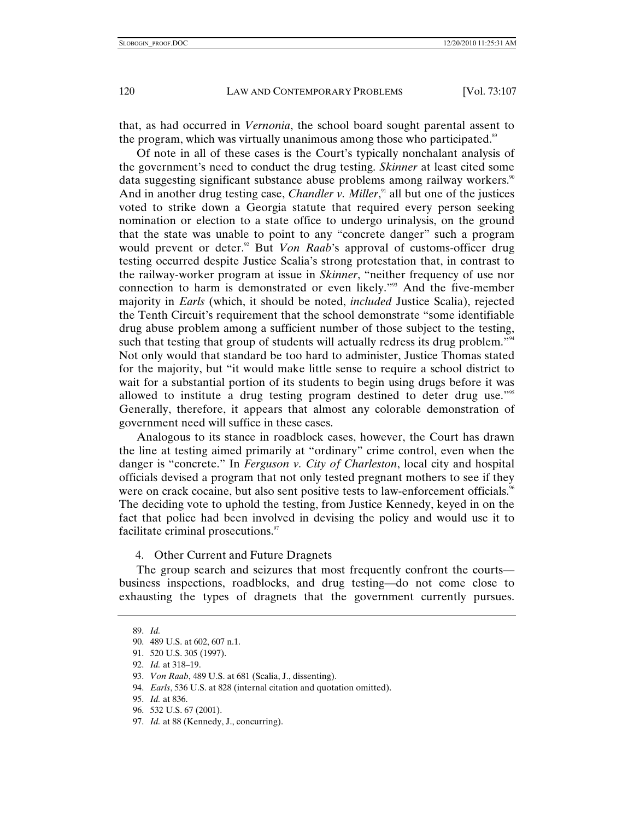that, as had occurred in *Vernonia*, the school board sought parental assent to the program, which was virtually unanimous among those who participated.<sup>89</sup>

Of note in all of these cases is the Court's typically nonchalant analysis of the government's need to conduct the drug testing. *Skinner* at least cited some data suggesting significant substance abuse problems among railway workers.<sup>90</sup> And in another drug testing case, *Chandler v. Miller*,<sup>91</sup> all but one of the justices voted to strike down a Georgia statute that required every person seeking nomination or election to a state office to undergo urinalysis, on the ground that the state was unable to point to any "concrete danger" such a program would prevent or deter.<sup>92</sup> But *Von Raab*'s approval of customs-officer drug testing occurred despite Justice Scalia's strong protestation that, in contrast to the railway-worker program at issue in *Skinner*, "neither frequency of use nor connection to harm is demonstrated or even likely."93 And the five-member majority in *Earls* (which, it should be noted, *included* Justice Scalia), rejected the Tenth Circuit's requirement that the school demonstrate "some identifiable drug abuse problem among a sufficient number of those subject to the testing, such that testing that group of students will actually redress its drug problem."<sup>94</sup> Not only would that standard be too hard to administer, Justice Thomas stated for the majority, but "it would make little sense to require a school district to wait for a substantial portion of its students to begin using drugs before it was allowed to institute a drug testing program destined to deter drug use."<sup>95</sup> Generally, therefore, it appears that almost any colorable demonstration of government need will suffice in these cases.

Analogous to its stance in roadblock cases, however, the Court has drawn the line at testing aimed primarily at "ordinary" crime control, even when the danger is "concrete." In *Ferguson v. City of Charleston*, local city and hospital officials devised a program that not only tested pregnant mothers to see if they were on crack cocaine, but also sent positive tests to law-enforcement officials.<sup>96</sup> The deciding vote to uphold the testing, from Justice Kennedy, keyed in on the fact that police had been involved in devising the policy and would use it to facilitate criminal prosecutions.<sup>97</sup>

### 4. Other Current and Future Dragnets

The group search and seizures that most frequently confront the courts business inspections, roadblocks, and drug testing—do not come close to exhausting the types of dragnets that the government currently pursues.

97. *Id.* at 88 (Kennedy, J., concurring).

 <sup>89.</sup> *Id.*

 <sup>90. 489</sup> U.S. at 602, 607 n.1.

 <sup>91. 520</sup> U.S. 305 (1997).

<sup>92.</sup> *Id.* at 318–19.

<sup>93.</sup> *Von Raab*, 489 U.S. at 681 (Scalia, J., dissenting).

<sup>94.</sup> *Earls*, 536 U.S. at 828 (internal citation and quotation omitted).

<sup>95.</sup> *Id.* at 836.

 <sup>96. 532</sup> U.S. 67 (2001).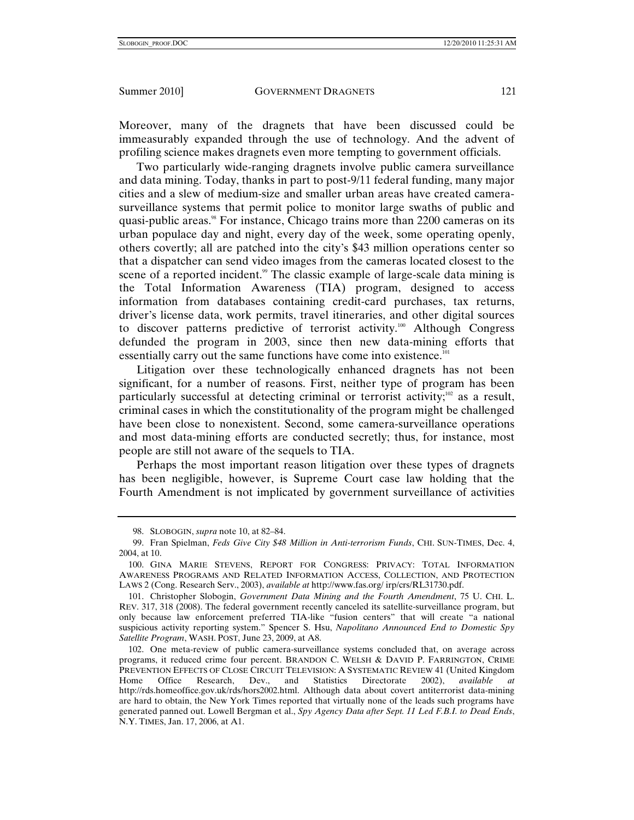Moreover, many of the dragnets that have been discussed could be immeasurably expanded through the use of technology. And the advent of profiling science makes dragnets even more tempting to government officials.

Two particularly wide-ranging dragnets involve public camera surveillance and data mining. Today, thanks in part to post-9/11 federal funding, many major cities and a slew of medium-size and smaller urban areas have created camerasurveillance systems that permit police to monitor large swaths of public and quasi-public areas.<sup>98</sup> For instance, Chicago trains more than 2200 cameras on its urban populace day and night, every day of the week, some operating openly, others covertly; all are patched into the city's \$43 million operations center so that a dispatcher can send video images from the cameras located closest to the scene of a reported incident.<sup>99</sup> The classic example of large-scale data mining is the Total Information Awareness (TIA) program, designed to access information from databases containing credit-card purchases, tax returns, driver's license data, work permits, travel itineraries, and other digital sources to discover patterns predictive of terrorist activity.100 Although Congress defunded the program in 2003, since then new data-mining efforts that essentially carry out the same functions have come into existence.<sup>101</sup>

Litigation over these technologically enhanced dragnets has not been significant, for a number of reasons. First, neither type of program has been particularly successful at detecting criminal or terrorist activity; $102$  as a result, criminal cases in which the constitutionality of the program might be challenged have been close to nonexistent. Second, some camera-surveillance operations and most data-mining efforts are conducted secretly; thus, for instance, most people are still not aware of the sequels to TIA.

Perhaps the most important reason litigation over these types of dragnets has been negligible, however, is Supreme Court case law holding that the Fourth Amendment is not implicated by government surveillance of activities

 <sup>98.</sup> SLOBOGIN, *supra* note 10, at 82–84.

 <sup>99.</sup> Fran Spielman, *Feds Give City \$48 Million in Anti-terrorism Funds*, CHI. SUN-TIMES, Dec. 4, 2004, at 10.

 <sup>100.</sup> GINA MARIE STEVENS, REPORT FOR CONGRESS: PRIVACY: TOTAL INFORMATION AWARENESS PROGRAMS AND RELATED INFORMATION ACCESS, COLLECTION, AND PROTECTION LAWS 2 (Cong. Research Serv., 2003), *available at* http://www.fas.org/ irp/crs/RL31730.pdf.

 <sup>101.</sup> Christopher Slobogin, *Government Data Mining and the Fourth Amendment*, 75 U. CHI. L. REV. 317, 318 (2008). The federal government recently canceled its satellite-surveillance program, but only because law enforcement preferred TIA-like "fusion centers" that will create "a national suspicious activity reporting system." Spencer S. Hsu, *Napolitano Announced End to Domestic Spy Satellite Program*, WASH. POST, June 23, 2009, at A8.

 <sup>102.</sup> One meta-review of public camera-surveillance systems concluded that, on average across programs, it reduced crime four percent. BRANDON C. WELSH & DAVID P. FARRINGTON, CRIME PREVENTION EFFECTS OF CLOSE CIRCUIT TELEVISION: A SYSTEMATIC REVIEW 41 (United Kingdom Home Office Research, Dev., and Statistics Directorate 2002), *available at* http://rds.homeoffice.gov.uk/rds/hors2002.html. Although data about covert antiterrorist data-mining are hard to obtain, the New York Times reported that virtually none of the leads such programs have generated panned out. Lowell Bergman et al., *Spy Agency Data after Sept. 11 Led F.B.I. to Dead Ends*, N.Y. TIMES, Jan. 17, 2006, at A1.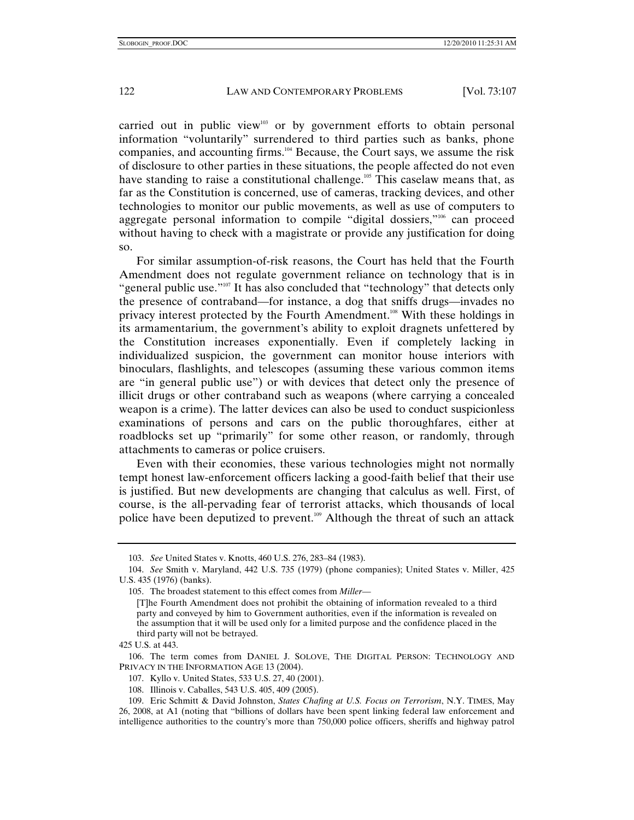carried out in public view<sup>103</sup> or by government efforts to obtain personal information "voluntarily" surrendered to third parties such as banks, phone companies, and accounting firms.104 Because, the Court says, we assume the risk of disclosure to other parties in these situations, the people affected do not even have standing to raise a constitutional challenge.<sup>105</sup> This caselaw means that, as far as the Constitution is concerned, use of cameras, tracking devices, and other technologies to monitor our public movements, as well as use of computers to aggregate personal information to compile "digital dossiers,"<sup>106</sup> can proceed without having to check with a magistrate or provide any justification for doing so.

For similar assumption-of-risk reasons, the Court has held that the Fourth Amendment does not regulate government reliance on technology that is in "general public use."107 It has also concluded that "technology" that detects only the presence of contraband—for instance, a dog that sniffs drugs—invades no privacy interest protected by the Fourth Amendment.108 With these holdings in its armamentarium, the government's ability to exploit dragnets unfettered by the Constitution increases exponentially. Even if completely lacking in individualized suspicion, the government can monitor house interiors with binoculars, flashlights, and telescopes (assuming these various common items are "in general public use") or with devices that detect only the presence of illicit drugs or other contraband such as weapons (where carrying a concealed weapon is a crime). The latter devices can also be used to conduct suspicionless examinations of persons and cars on the public thoroughfares, either at roadblocks set up "primarily" for some other reason, or randomly, through attachments to cameras or police cruisers.

Even with their economies, these various technologies might not normally tempt honest law-enforcement officers lacking a good-faith belief that their use is justified. But new developments are changing that calculus as well. First, of course, is the all-pervading fear of terrorist attacks, which thousands of local police have been deputized to prevent.109 Although the threat of such an attack

<sup>103.</sup> *See* United States v. Knotts, 460 U.S. 276, 283–84 (1983).

<sup>104.</sup> *See* Smith v. Maryland, 442 U.S. 735 (1979) (phone companies); United States v. Miller, 425 U.S. 435 (1976) (banks).

 <sup>105.</sup> The broadest statement to this effect comes from *Miller*—

<sup>[</sup>T]he Fourth Amendment does not prohibit the obtaining of information revealed to a third party and conveyed by him to Government authorities, even if the information is revealed on the assumption that it will be used only for a limited purpose and the confidence placed in the third party will not be betrayed.

<sup>425</sup> U.S. at 443.

 <sup>106.</sup> The term comes from DANIEL J. SOLOVE, THE DIGITAL PERSON: TECHNOLOGY AND PRIVACY IN THE INFORMATION AGE 13 (2004).

 <sup>107.</sup> Kyllo v. United States, 533 U.S. 27, 40 (2001).

 <sup>108.</sup> Illinois v. Caballes, 543 U.S. 405, 409 (2005).

 <sup>109.</sup> Eric Schmitt & David Johnston, *States Chafing at U.S. Focus on Terrorism*, N.Y. TIMES, May 26, 2008, at A1 (noting that "billions of dollars have been spent linking federal law enforcement and intelligence authorities to the country's more than 750,000 police officers, sheriffs and highway patrol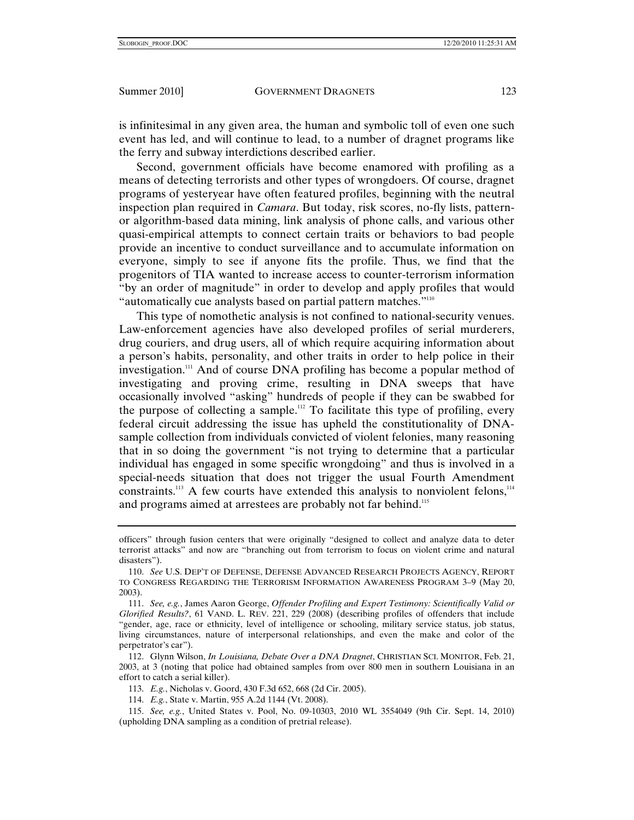is infinitesimal in any given area, the human and symbolic toll of even one such event has led, and will continue to lead, to a number of dragnet programs like the ferry and subway interdictions described earlier.

Second, government officials have become enamored with profiling as a means of detecting terrorists and other types of wrongdoers. Of course, dragnet programs of yesteryear have often featured profiles, beginning with the neutral inspection plan required in *Camara*. But today, risk scores, no-fly lists, patternor algorithm-based data mining, link analysis of phone calls, and various other quasi-empirical attempts to connect certain traits or behaviors to bad people provide an incentive to conduct surveillance and to accumulate information on everyone, simply to see if anyone fits the profile. Thus, we find that the progenitors of TIA wanted to increase access to counter-terrorism information "by an order of magnitude" in order to develop and apply profiles that would "automatically cue analysts based on partial pattern matches."<sup>110</sup>

This type of nomothetic analysis is not confined to national-security venues. Law-enforcement agencies have also developed profiles of serial murderers, drug couriers, and drug users, all of which require acquiring information about a person's habits, personality, and other traits in order to help police in their investigation.<sup>111</sup> And of course DNA profiling has become a popular method of investigating and proving crime, resulting in DNA sweeps that have occasionally involved "asking" hundreds of people if they can be swabbed for the purpose of collecting a sample.<sup>112</sup> To facilitate this type of profiling, every federal circuit addressing the issue has upheld the constitutionality of DNAsample collection from individuals convicted of violent felonies, many reasoning that in so doing the government "is not trying to determine that a particular individual has engaged in some specific wrongdoing" and thus is involved in a special-needs situation that does not trigger the usual Fourth Amendment constraints.<sup>113</sup> A few courts have extended this analysis to nonviolent felons,<sup>114</sup> and programs aimed at arrestees are probably not far behind.<sup>115</sup>

officers" through fusion centers that were originally "designed to collect and analyze data to deter terrorist attacks" and now are "branching out from terrorism to focus on violent crime and natural disasters").

<sup>110.</sup> *See* U.S. DEP'T OF DEFENSE, DEFENSE ADVANCED RESEARCH PROJECTS AGENCY, REPORT TO CONGRESS REGARDING THE TERRORISM INFORMATION AWARENESS PROGRAM 3–9 (May 20, 2003).

<sup>111.</sup> *See, e.g.*, James Aaron George, *Offender Profiling and Expert Testimony: Scientifically Valid or Glorified Results?*, 61 VAND. L. REV. 221, 229 (2008) (describing profiles of offenders that include "gender, age, race or ethnicity, level of intelligence or schooling, military service status, job status, living circumstances, nature of interpersonal relationships, and even the make and color of the perpetrator's car").

 <sup>112.</sup> Glynn Wilson, *In Louisiana, Debate Over a DNA Dragnet*, CHRISTIAN SCI. MONITOR, Feb. 21, 2003, at 3 (noting that police had obtained samples from over 800 men in southern Louisiana in an effort to catch a serial killer).

<sup>113.</sup> *E.g.*, Nicholas v. Goord, 430 F.3d 652, 668 (2d Cir. 2005).

<sup>114.</sup> *E.g.*, State v. Martin, 955 A.2d 1144 (Vt. 2008).

 <sup>115.</sup> *See, e.g.*, United States v. Pool, No. 09-10303, 2010 WL 3554049 (9th Cir. Sept. 14, 2010) (upholding DNA sampling as a condition of pretrial release).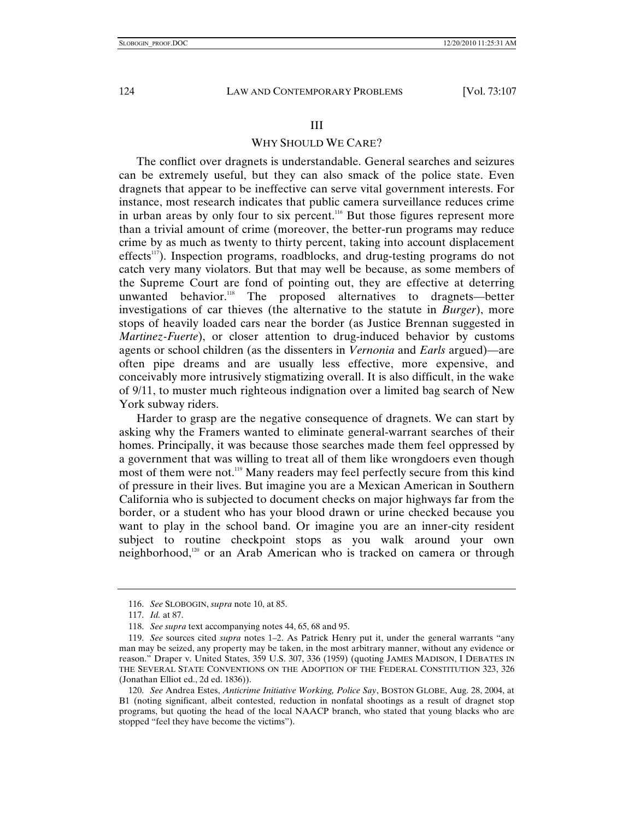### III

# WHY SHOULD WE CARE?

The conflict over dragnets is understandable. General searches and seizures can be extremely useful, but they can also smack of the police state. Even dragnets that appear to be ineffective can serve vital government interests. For instance, most research indicates that public camera surveillance reduces crime in urban areas by only four to six percent.116 But those figures represent more than a trivial amount of crime (moreover, the better-run programs may reduce crime by as much as twenty to thirty percent, taking into account displacement effects<sup>117</sup>). Inspection programs, roadblocks, and drug-testing programs do not catch very many violators. But that may well be because, as some members of the Supreme Court are fond of pointing out, they are effective at deterring unwanted behavior.<sup>118</sup> The proposed alternatives to dragnets—better investigations of car thieves (the alternative to the statute in *Burger*), more stops of heavily loaded cars near the border (as Justice Brennan suggested in *Martinez-Fuerte*), or closer attention to drug-induced behavior by customs agents or school children (as the dissenters in *Vernonia* and *Earls* argued)—are often pipe dreams and are usually less effective, more expensive, and conceivably more intrusively stigmatizing overall. It is also difficult, in the wake of 9/11, to muster much righteous indignation over a limited bag search of New York subway riders.

Harder to grasp are the negative consequence of dragnets. We can start by asking why the Framers wanted to eliminate general-warrant searches of their homes. Principally, it was because those searches made them feel oppressed by a government that was willing to treat all of them like wrongdoers even though most of them were not.<sup>119</sup> Many readers may feel perfectly secure from this kind of pressure in their lives. But imagine you are a Mexican American in Southern California who is subjected to document checks on major highways far from the border, or a student who has your blood drawn or urine checked because you want to play in the school band. Or imagine you are an inner-city resident subject to routine checkpoint stops as you walk around your own neighborhood, $120$  or an Arab American who is tracked on camera or through

<sup>116.</sup> *See* SLOBOGIN, *supra* note 10, at 85.

<sup>117.</sup> *Id.* at 87.

<sup>118.</sup> *See supra* text accompanying notes 44, 65, 68 and 95.

<sup>119.</sup> *See* sources cited *supra* notes 1–2. As Patrick Henry put it, under the general warrants "any man may be seized, any property may be taken, in the most arbitrary manner, without any evidence or reason." Draper v. United States, 359 U.S. 307, 336 (1959) (quoting JAMES MADISON, I DEBATES IN THE SEVERAL STATE CONVENTIONS ON THE ADOPTION OF THE FEDERAL CONSTITUTION 323, 326 (Jonathan Elliot ed., 2d ed. 1836)).

<sup>120.</sup> *See* Andrea Estes, *Anticrime Initiative Working, Police Say*, BOSTON GLOBE, Aug. 28, 2004, at B1 (noting significant, albeit contested, reduction in nonfatal shootings as a result of dragnet stop programs, but quoting the head of the local NAACP branch, who stated that young blacks who are stopped "feel they have become the victims").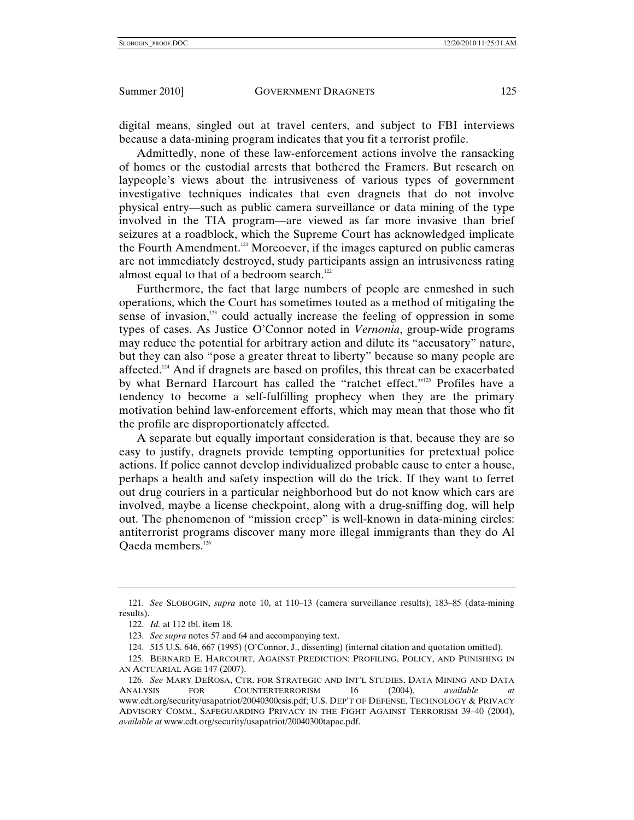digital means, singled out at travel centers, and subject to FBI interviews because a data-mining program indicates that you fit a terrorist profile.

Admittedly, none of these law-enforcement actions involve the ransacking of homes or the custodial arrests that bothered the Framers. But research on laypeople's views about the intrusiveness of various types of government investigative techniques indicates that even dragnets that do not involve physical entry—such as public camera surveillance or data mining of the type involved in the TIA program—are viewed as far more invasive than brief seizures at a roadblock, which the Supreme Court has acknowledged implicate the Fourth Amendment.<sup>121</sup> Moreoever, if the images captured on public cameras are not immediately destroyed, study participants assign an intrusiveness rating almost equal to that of a bedroom search.<sup>122</sup>

Furthermore, the fact that large numbers of people are enmeshed in such operations, which the Court has sometimes touted as a method of mitigating the sense of invasion, $123$  could actually increase the feeling of oppression in some types of cases. As Justice O'Connor noted in *Vernonia*, group-wide programs may reduce the potential for arbitrary action and dilute its "accusatory" nature, but they can also "pose a greater threat to liberty" because so many people are affected.<sup>124</sup> And if dragnets are based on profiles, this threat can be exacerbated by what Bernard Harcourt has called the "ratchet effect."<sup>125</sup> Profiles have a tendency to become a self-fulfilling prophecy when they are the primary motivation behind law-enforcement efforts, which may mean that those who fit the profile are disproportionately affected.

A separate but equally important consideration is that, because they are so easy to justify, dragnets provide tempting opportunities for pretextual police actions. If police cannot develop individualized probable cause to enter a house, perhaps a health and safety inspection will do the trick. If they want to ferret out drug couriers in a particular neighborhood but do not know which cars are involved, maybe a license checkpoint, along with a drug-sniffing dog, will help out. The phenomenon of "mission creep" is well-known in data-mining circles: antiterrorist programs discover many more illegal immigrants than they do Al Qaeda members.126

<sup>121.</sup> *See* SLOBOGIN, *supra* note 10, at 110–13 (camera surveillance results); 183–85 (data-mining results).

<sup>122.</sup> *Id.* at 112 tbl. item 18.

<sup>123.</sup> *See supra* notes 57 and 64 and accompanying text.

 <sup>124. 515</sup> U.S. 646, 667 (1995) (O'Connor, J., dissenting) (internal citation and quotation omitted).

 <sup>125.</sup> BERNARD E. HARCOURT, AGAINST PREDICTION: PROFILING, POLICY, AND PUNISHING IN AN ACTUARIAL AGE 147 (2007).

<sup>126.</sup> *See* MARY DEROSA, CTR. FOR STRATEGIC AND INT'L STUDIES, DATA MINING AND DATA ANALYSIS FOR COUNTERTERRORISM 16 (2004), *available at*  www.cdt.org/security/usapatriot/20040300csis.pdf; U.S. DEP'T OF DEFENSE, TECHNOLOGY & PRIVACY ADVISORY COMM., SAFEGUARDING PRIVACY IN THE FIGHT AGAINST TERRORISM 39–40 (2004), *available at* www.cdt.org/security/usapatriot/20040300tapac.pdf.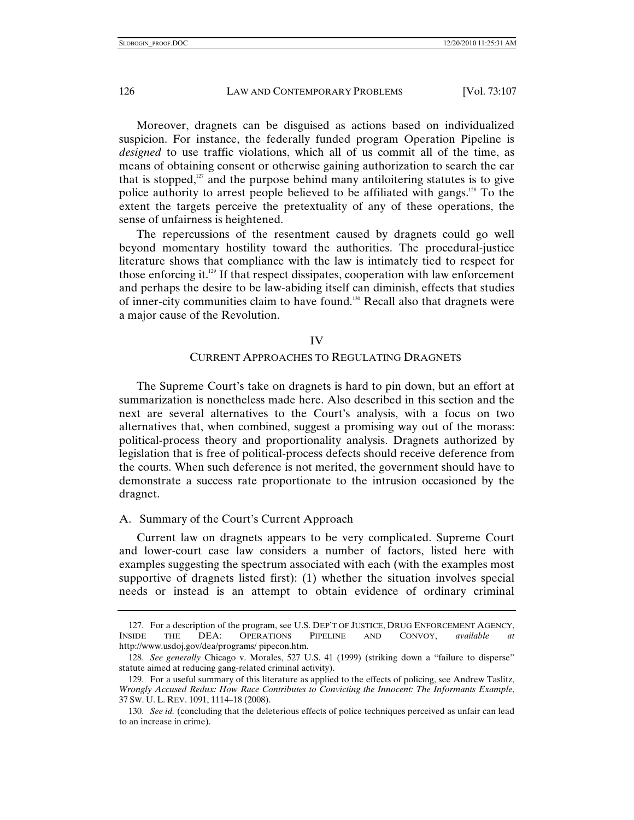Moreover, dragnets can be disguised as actions based on individualized suspicion. For instance, the federally funded program Operation Pipeline is *designed* to use traffic violations, which all of us commit all of the time, as means of obtaining consent or otherwise gaining authorization to search the car that is stopped, $127$  and the purpose behind many antiloitering statutes is to give police authority to arrest people believed to be affiliated with gangs.<sup>128</sup> To the extent the targets perceive the pretextuality of any of these operations, the sense of unfairness is heightened.

The repercussions of the resentment caused by dragnets could go well beyond momentary hostility toward the authorities. The procedural-justice literature shows that compliance with the law is intimately tied to respect for those enforcing it.<sup>129</sup> If that respect dissipates, cooperation with law enforcement and perhaps the desire to be law-abiding itself can diminish, effects that studies of inner-city communities claim to have found.130 Recall also that dragnets were a major cause of the Revolution.

#### IV

### CURRENT APPROACHES TO REGULATING DRAGNETS

The Supreme Court's take on dragnets is hard to pin down, but an effort at summarization is nonetheless made here. Also described in this section and the next are several alternatives to the Court's analysis, with a focus on two alternatives that, when combined, suggest a promising way out of the morass: political-process theory and proportionality analysis. Dragnets authorized by legislation that is free of political-process defects should receive deference from the courts. When such deference is not merited, the government should have to demonstrate a success rate proportionate to the intrusion occasioned by the dragnet.

### A. Summary of the Court's Current Approach

Current law on dragnets appears to be very complicated. Supreme Court and lower-court case law considers a number of factors, listed here with examples suggesting the spectrum associated with each (with the examples most supportive of dragnets listed first): (1) whether the situation involves special needs or instead is an attempt to obtain evidence of ordinary criminal

<sup>127.</sup> For a description of the program, see U.S. DEP'T OF JUSTICE, DRUG ENFORCEMENT AGENCY,<br>INSIDE THE DEA: OPERATIONS PIPELINE AND CONVOY. *available at* THE DEA: OPERATIONS PIPELINE AND CONVOY, *available at* http://www.usdoj.gov/dea/programs/ pipecon.htm.

<sup>128.</sup> *See generally* Chicago v. Morales, 527 U.S. 41 (1999) (striking down a "failure to disperse" statute aimed at reducing gang-related criminal activity).

 <sup>129.</sup> For a useful summary of this literature as applied to the effects of policing, see Andrew Taslitz, *Wrongly Accused Redux: How Race Contributes to Convicting the Innocent: The Informants Example*, 37 SW. U. L. REV. 1091, 1114–18 (2008).

<sup>130.</sup> *See id.* (concluding that the deleterious effects of police techniques perceived as unfair can lead to an increase in crime).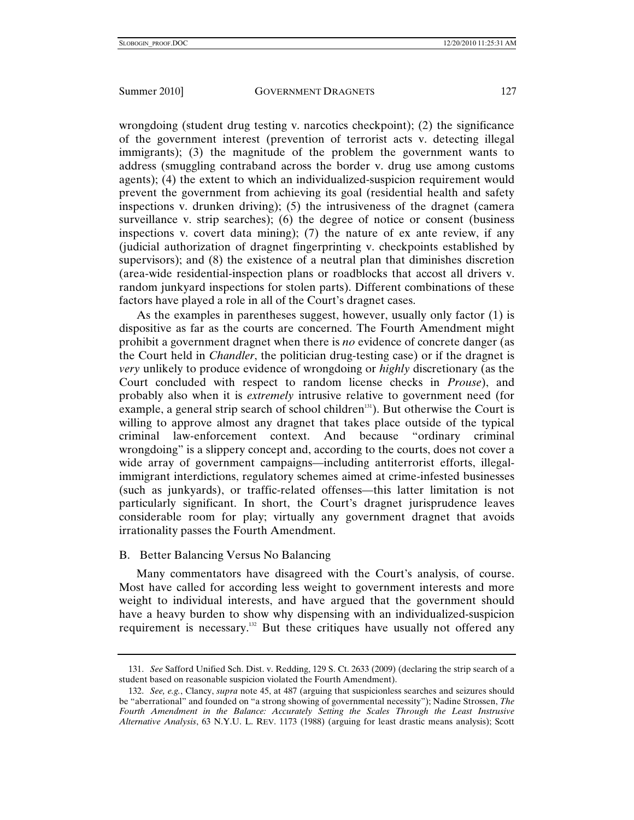wrongdoing (student drug testing v. narcotics checkpoint); (2) the significance of the government interest (prevention of terrorist acts v. detecting illegal immigrants); (3) the magnitude of the problem the government wants to address (smuggling contraband across the border v. drug use among customs agents); (4) the extent to which an individualized-suspicion requirement would prevent the government from achieving its goal (residential health and safety inspections v. drunken driving); (5) the intrusiveness of the dragnet (camera surveillance v. strip searches); (6) the degree of notice or consent (business inspections v. covert data mining); (7) the nature of ex ante review, if any (judicial authorization of dragnet fingerprinting v. checkpoints established by supervisors); and (8) the existence of a neutral plan that diminishes discretion (area-wide residential-inspection plans or roadblocks that accost all drivers v. random junkyard inspections for stolen parts). Different combinations of these factors have played a role in all of the Court's dragnet cases.

As the examples in parentheses suggest, however, usually only factor (1) is dispositive as far as the courts are concerned. The Fourth Amendment might prohibit a government dragnet when there is *no* evidence of concrete danger (as the Court held in *Chandler*, the politician drug-testing case) or if the dragnet is *very* unlikely to produce evidence of wrongdoing or *highly* discretionary (as the Court concluded with respect to random license checks in *Prouse*), and probably also when it is *extremely* intrusive relative to government need (for example, a general strip search of school children<sup>131</sup>). But otherwise the Court is willing to approve almost any dragnet that takes place outside of the typical criminal law-enforcement context. And because "ordinary criminal wrongdoing" is a slippery concept and, according to the courts, does not cover a wide array of government campaigns—including antiterrorist efforts, illegalimmigrant interdictions, regulatory schemes aimed at crime-infested businesses (such as junkyards), or traffic-related offenses—this latter limitation is not particularly significant. In short, the Court's dragnet jurisprudence leaves considerable room for play; virtually any government dragnet that avoids irrationality passes the Fourth Amendment.

# B. Better Balancing Versus No Balancing

Many commentators have disagreed with the Court's analysis, of course. Most have called for according less weight to government interests and more weight to individual interests, and have argued that the government should have a heavy burden to show why dispensing with an individualized-suspicion requirement is necessary.<sup>132</sup> But these critiques have usually not offered any

<sup>131.</sup> *See* Safford Unified Sch. Dist. v. Redding, 129 S. Ct. 2633 (2009) (declaring the strip search of a student based on reasonable suspicion violated the Fourth Amendment).

<sup>132.</sup> *See, e.g.*, Clancy, *supra* note 45, at 487 (arguing that suspicionless searches and seizures should be "aberrational" and founded on "a strong showing of governmental necessity"); Nadine Strossen, *The Fourth Amendment in the Balance: Accurately Setting the Scales Through the Least Instrusive Alternative Analysis*, 63 N.Y.U. L. REV. 1173 (1988) (arguing for least drastic means analysis); Scott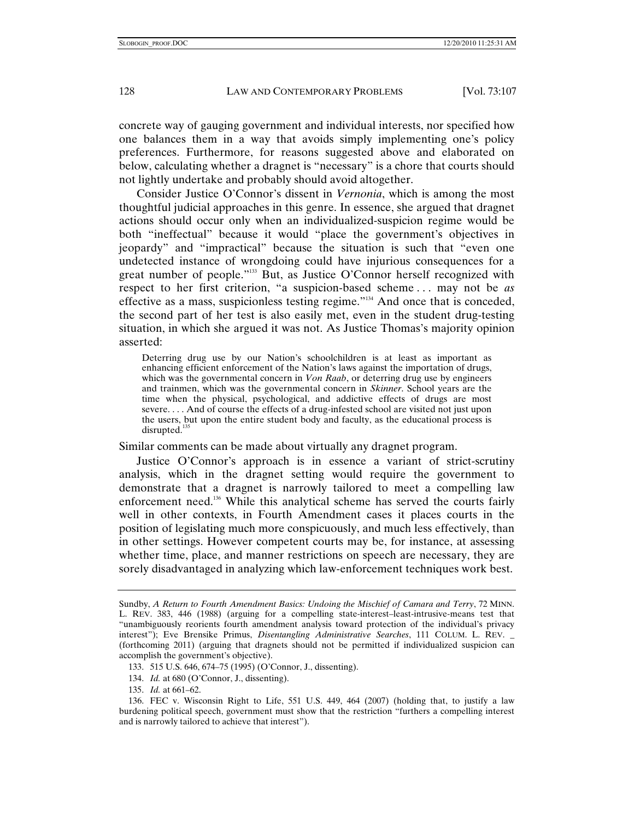concrete way of gauging government and individual interests, nor specified how one balances them in a way that avoids simply implementing one's policy preferences. Furthermore, for reasons suggested above and elaborated on below, calculating whether a dragnet is "necessary" is a chore that courts should not lightly undertake and probably should avoid altogether.

Consider Justice O'Connor's dissent in *Vernonia*, which is among the most thoughtful judicial approaches in this genre. In essence, she argued that dragnet actions should occur only when an individualized-suspicion regime would be both "ineffectual" because it would "place the government's objectives in jeopardy" and "impractical" because the situation is such that "even one undetected instance of wrongdoing could have injurious consequences for a great number of people."<sup>133</sup> But, as Justice O'Connor herself recognized with respect to her first criterion, "a suspicion-based scheme . . . may not be *as* effective as a mass, suspicionless testing regime."134 And once that is conceded, the second part of her test is also easily met, even in the student drug-testing situation, in which she argued it was not. As Justice Thomas's majority opinion asserted:

Deterring drug use by our Nation's schoolchildren is at least as important as enhancing efficient enforcement of the Nation's laws against the importation of drugs, which was the governmental concern in *Von Raab*, or deterring drug use by engineers and trainmen, which was the governmental concern in *Skinner*. School years are the time when the physical, psychological, and addictive effects of drugs are most severe. . . . And of course the effects of a drug-infested school are visited not just upon the users, but upon the entire student body and faculty, as the educational process is  $disrupted.<sup>1</sup>$ 

Similar comments can be made about virtually any dragnet program.

Justice O'Connor's approach is in essence a variant of strict-scrutiny analysis, which in the dragnet setting would require the government to demonstrate that a dragnet is narrowly tailored to meet a compelling law enforcement need.<sup>136</sup> While this analytical scheme has served the courts fairly well in other contexts, in Fourth Amendment cases it places courts in the position of legislating much more conspicuously, and much less effectively, than in other settings. However competent courts may be, for instance, at assessing whether time, place, and manner restrictions on speech are necessary, they are sorely disadvantaged in analyzing which law-enforcement techniques work best.

Sundby, *A Return to Fourth Amendment Basics: Undoing the Mischief of Camara and Terry*, 72 MINN. L. REV. 383, 446 (1988) (arguing for a compelling state-interest–least-intrusive-means test that "unambiguously reorients fourth amendment analysis toward protection of the individual's privacy interest"); Eve Brensike Primus, *Disentangling Administrative Searches*, 111 COLUM. L. REV. \_ (forthcoming 2011) (arguing that dragnets should not be permitted if individualized suspicion can accomplish the government's objective).

 <sup>133. 515</sup> U.S. 646, 674–75 (1995) (O'Connor, J., dissenting).

<sup>134.</sup> *Id.* at 680 (O'Connor, J., dissenting).

<sup>135.</sup> *Id.* at 661–62.

 <sup>136.</sup> FEC v. Wisconsin Right to Life, 551 U.S. 449, 464 (2007) (holding that, to justify a law burdening political speech, government must show that the restriction "furthers a compelling interest and is narrowly tailored to achieve that interest").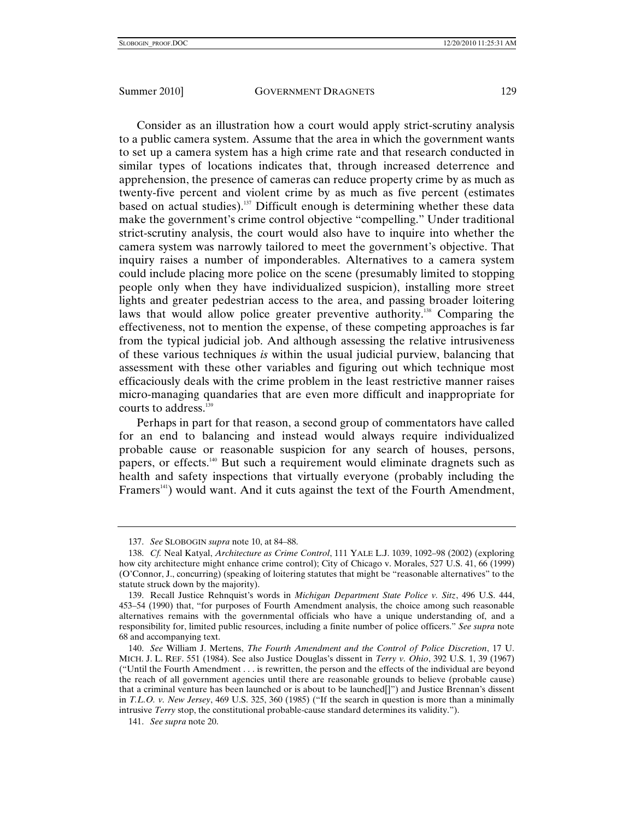Consider as an illustration how a court would apply strict-scrutiny analysis to a public camera system. Assume that the area in which the government wants to set up a camera system has a high crime rate and that research conducted in similar types of locations indicates that, through increased deterrence and apprehension, the presence of cameras can reduce property crime by as much as twenty-five percent and violent crime by as much as five percent (estimates based on actual studies).<sup>137</sup> Difficult enough is determining whether these data make the government's crime control objective "compelling." Under traditional strict-scrutiny analysis, the court would also have to inquire into whether the camera system was narrowly tailored to meet the government's objective. That inquiry raises a number of imponderables. Alternatives to a camera system could include placing more police on the scene (presumably limited to stopping people only when they have individualized suspicion), installing more street lights and greater pedestrian access to the area, and passing broader loitering laws that would allow police greater preventive authority.<sup>138</sup> Comparing the effectiveness, not to mention the expense, of these competing approaches is far from the typical judicial job. And although assessing the relative intrusiveness of these various techniques *is* within the usual judicial purview, balancing that assessment with these other variables and figuring out which technique most efficaciously deals with the crime problem in the least restrictive manner raises micro-managing quandaries that are even more difficult and inappropriate for courts to address.<sup>139</sup>

Perhaps in part for that reason, a second group of commentators have called for an end to balancing and instead would always require individualized probable cause or reasonable suspicion for any search of houses, persons, papers, or effects.140 But such a requirement would eliminate dragnets such as health and safety inspections that virtually everyone (probably including the Framers<sup>141</sup>) would want. And it cuts against the text of the Fourth Amendment,

<sup>137.</sup> *See* SLOBOGIN *supra* note 10, at 84–88.

<sup>138.</sup> *Cf.* Neal Katyal, *Architecture as Crime Control*, 111 YALE L.J. 1039, 1092–98 (2002) (exploring how city architecture might enhance crime control); City of Chicago v. Morales, 527 U.S. 41, 66 (1999) (O'Connor, J., concurring) (speaking of loitering statutes that might be "reasonable alternatives" to the statute struck down by the majority).

 <sup>139.</sup> Recall Justice Rehnquist's words in *Michigan Department State Police v. Sitz*, 496 U.S. 444, 453–54 (1990) that, "for purposes of Fourth Amendment analysis, the choice among such reasonable alternatives remains with the governmental officials who have a unique understanding of, and a responsibility for, limited public resources, including a finite number of police officers." *See supra* note 68 and accompanying text.

 <sup>140.</sup> *See* William J. Mertens, *The Fourth Amendment and the Control of Police Discretion*, 17 U. MICH. J. L. REF. 551 (1984). See also Justice Douglas's dissent in *Terry v. Ohio*, 392 U.S. 1, 39 (1967) ("Until the Fourth Amendment . . . is rewritten, the person and the effects of the individual are beyond the reach of all government agencies until there are reasonable grounds to believe (probable cause) that a criminal venture has been launched or is about to be launched[]") and Justice Brennan's dissent in *T.L.O. v. New Jersey*, 469 U.S. 325, 360 (1985) ("If the search in question is more than a minimally intrusive *Terry* stop, the constitutional probable-cause standard determines its validity.").

<sup>141.</sup> *See supra* note 20.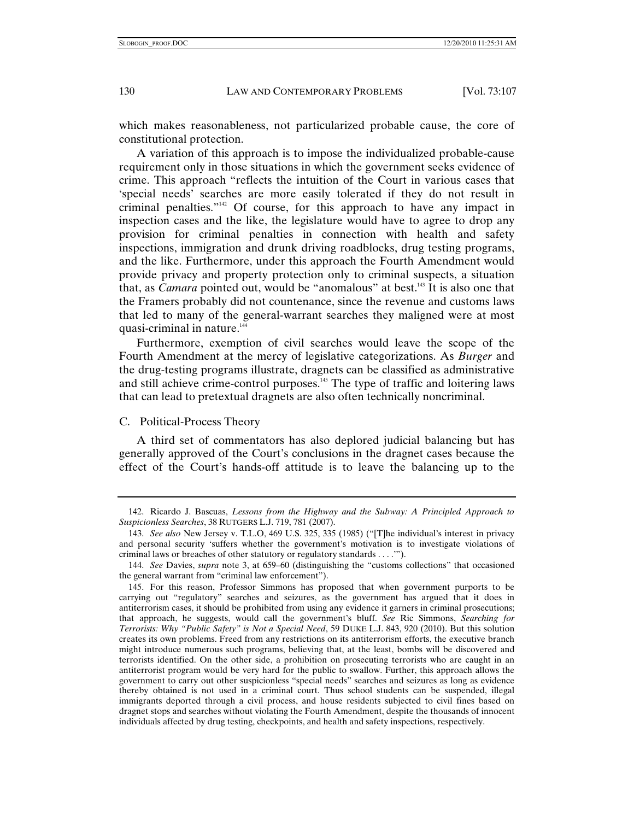which makes reasonableness, not particularized probable cause, the core of constitutional protection.

A variation of this approach is to impose the individualized probable-cause requirement only in those situations in which the government seeks evidence of crime. This approach "reflects the intuition of the Court in various cases that 'special needs' searches are more easily tolerated if they do not result in criminal penalties."142 Of course, for this approach to have any impact in inspection cases and the like, the legislature would have to agree to drop any provision for criminal penalties in connection with health and safety inspections, immigration and drunk driving roadblocks, drug testing programs, and the like. Furthermore, under this approach the Fourth Amendment would provide privacy and property protection only to criminal suspects, a situation that, as *Camara* pointed out, would be "anomalous" at best.<sup>143</sup> It is also one that the Framers probably did not countenance, since the revenue and customs laws that led to many of the general-warrant searches they maligned were at most quasi-criminal in nature.<sup>144</sup>

Furthermore, exemption of civil searches would leave the scope of the Fourth Amendment at the mercy of legislative categorizations. As *Burger* and the drug-testing programs illustrate, dragnets can be classified as administrative and still achieve crime-control purposes.<sup>145</sup> The type of traffic and loitering laws that can lead to pretextual dragnets are also often technically noncriminal.

# C. Political-Process Theory

A third set of commentators has also deplored judicial balancing but has generally approved of the Court's conclusions in the dragnet cases because the effect of the Court's hands-off attitude is to leave the balancing up to the

 <sup>142.</sup> Ricardo J. Bascuas, *Lessons from the Highway and the Subway: A Principled Approach to Suspicionless Searches*, 38 RUTGERS L.J. 719, 781 (2007).

<sup>143.</sup> *See also* New Jersey v. T.L.O, 469 U.S. 325, 335 (1985) ("[T]he individual's interest in privacy and personal security 'suffers whether the government's motivation is to investigate violations of criminal laws or breaches of other statutory or regulatory standards . . . .'").

<sup>144.</sup> *See* Davies, *supra* note 3, at 659–60 (distinguishing the "customs collections" that occasioned the general warrant from "criminal law enforcement").

 <sup>145.</sup> For this reason, Professor Simmons has proposed that when government purports to be carrying out "regulatory" searches and seizures, as the government has argued that it does in antiterrorism cases, it should be prohibited from using any evidence it garners in criminal prosecutions; that approach, he suggests, would call the government's bluff. *See* Ric Simmons, *Searching for Terrorists: Why "Public Safety" is Not a Special Need*, 59 DUKE L.J. 843, 920 (2010). But this solution creates its own problems. Freed from any restrictions on its antiterrorism efforts, the executive branch might introduce numerous such programs, believing that, at the least, bombs will be discovered and terrorists identified. On the other side, a prohibition on prosecuting terrorists who are caught in an antiterrorist program would be very hard for the public to swallow. Further, this approach allows the government to carry out other suspicionless "special needs" searches and seizures as long as evidence thereby obtained is not used in a criminal court. Thus school students can be suspended, illegal immigrants deported through a civil process, and house residents subjected to civil fines based on dragnet stops and searches without violating the Fourth Amendment, despite the thousands of innocent individuals affected by drug testing, checkpoints, and health and safety inspections, respectively.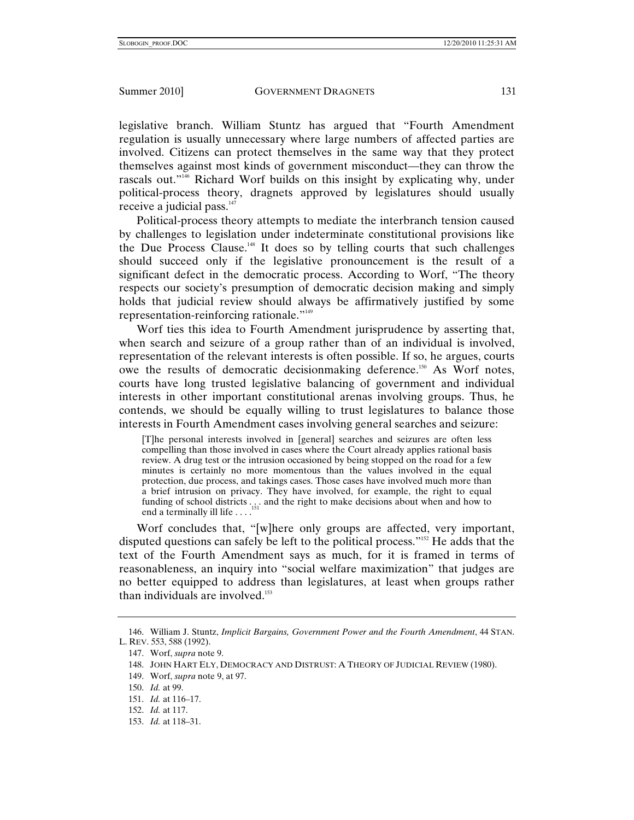legislative branch. William Stuntz has argued that "Fourth Amendment regulation is usually unnecessary where large numbers of affected parties are involved. Citizens can protect themselves in the same way that they protect themselves against most kinds of government misconduct—they can throw the rascals out."146 Richard Worf builds on this insight by explicating why, under political-process theory, dragnets approved by legislatures should usually receive a judicial pass.<sup>147</sup>

Political-process theory attempts to mediate the interbranch tension caused by challenges to legislation under indeterminate constitutional provisions like the Due Process Clause.<sup>148</sup> It does so by telling courts that such challenges should succeed only if the legislative pronouncement is the result of a significant defect in the democratic process. According to Worf, "The theory respects our society's presumption of democratic decision making and simply holds that judicial review should always be affirmatively justified by some representation-reinforcing rationale."149

Worf ties this idea to Fourth Amendment jurisprudence by asserting that, when search and seizure of a group rather than of an individual is involved, representation of the relevant interests is often possible. If so, he argues, courts owe the results of democratic decisionmaking deference.<sup>150</sup> As Worf notes, courts have long trusted legislative balancing of government and individual interests in other important constitutional arenas involving groups. Thus, he contends, we should be equally willing to trust legislatures to balance those interests in Fourth Amendment cases involving general searches and seizure:

[T]he personal interests involved in [general] searches and seizures are often less compelling than those involved in cases where the Court already applies rational basis review. A drug test or the intrusion occasioned by being stopped on the road for a few minutes is certainly no more momentous than the values involved in the equal protection, due process, and takings cases. Those cases have involved much more than a brief intrusion on privacy. They have involved, for example, the right to equal funding of school districts ... . and the right to make decisions about when and how to end a terminally ill life . . . .

Worf concludes that, "[w]here only groups are affected, very important, disputed questions can safely be left to the political process."152 He adds that the text of the Fourth Amendment says as much, for it is framed in terms of reasonableness, an inquiry into "social welfare maximization" that judges are no better equipped to address than legislatures, at least when groups rather than individuals are involved. $153$ 

- 152. *Id.* at 117.
- 153. *Id.* at 118–31.

 <sup>146.</sup> William J. Stuntz, *Implicit Bargains, Government Power and the Fourth Amendment*, 44 STAN. L. REV. 553, 588 (1992).

 <sup>147.</sup> Worf, *supra* note 9.

 <sup>148.</sup> JOHN HART ELY, DEMOCRACY AND DISTRUST: A THEORY OF JUDICIAL REVIEW (1980).

 <sup>149.</sup> Worf, *supra* note 9, at 97.

<sup>150.</sup> *Id.* at 99.

<sup>151.</sup> *Id.* at 116–17.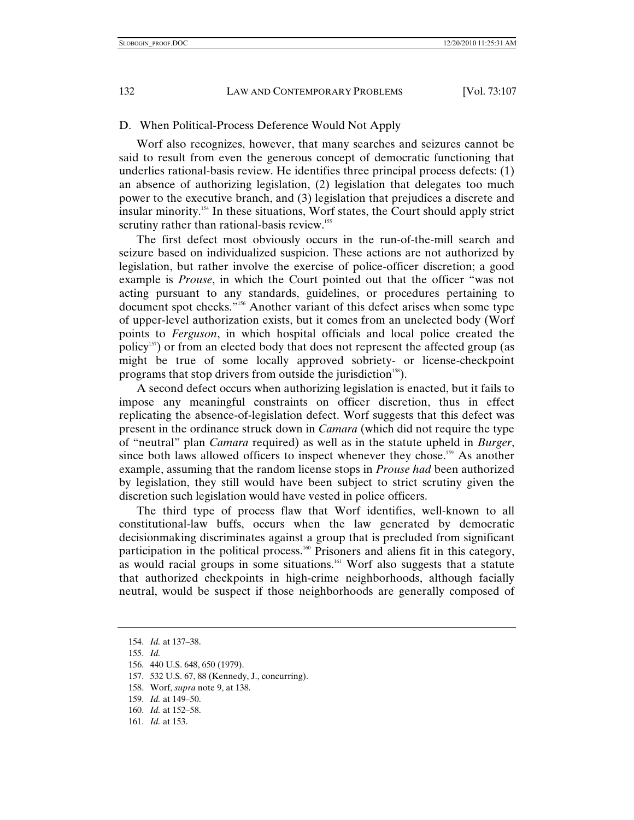### D. When Political-Process Deference Would Not Apply

Worf also recognizes, however, that many searches and seizures cannot be said to result from even the generous concept of democratic functioning that underlies rational-basis review. He identifies three principal process defects: (1) an absence of authorizing legislation, (2) legislation that delegates too much power to the executive branch, and (3) legislation that prejudices a discrete and insular minority.154 In these situations, Worf states, the Court should apply strict scrutiny rather than rational-basis review.<sup>155</sup>

The first defect most obviously occurs in the run-of-the-mill search and seizure based on individualized suspicion. These actions are not authorized by legislation, but rather involve the exercise of police-officer discretion; a good example is *Prouse*, in which the Court pointed out that the officer "was not acting pursuant to any standards, guidelines, or procedures pertaining to document spot checks."156 Another variant of this defect arises when some type of upper-level authorization exists, but it comes from an unelected body (Worf points to *Ferguson*, in which hospital officials and local police created the policy<sup>157</sup>) or from an elected body that does not represent the affected group (as might be true of some locally approved sobriety- or license-checkpoint programs that stop drivers from outside the jurisdiction<sup>158</sup>).

A second defect occurs when authorizing legislation is enacted, but it fails to impose any meaningful constraints on officer discretion, thus in effect replicating the absence-of-legislation defect. Worf suggests that this defect was present in the ordinance struck down in *Camara* (which did not require the type of "neutral" plan *Camara* required) as well as in the statute upheld in *Burger*, since both laws allowed officers to inspect whenever they chose.<sup>159</sup> As another example, assuming that the random license stops in *Prouse had* been authorized by legislation, they still would have been subject to strict scrutiny given the discretion such legislation would have vested in police officers.

The third type of process flaw that Worf identifies, well-known to all constitutional-law buffs, occurs when the law generated by democratic decisionmaking discriminates against a group that is precluded from significant participation in the political process.<sup>160</sup> Prisoners and aliens fit in this category, as would racial groups in some situations.<sup>161</sup> Worf also suggests that a statute that authorized checkpoints in high-crime neighborhoods, although facially neutral, would be suspect if those neighborhoods are generally composed of

155. *Id.*

158. Worf, *supra* note 9, at 138.

161. *Id.* at 153.

<sup>154.</sup> *Id.* at 137–38.

 <sup>156. 440</sup> U.S. 648, 650 (1979).

 <sup>157. 532</sup> U.S. 67, 88 (Kennedy, J., concurring).

<sup>159.</sup> *Id.* at 149–50.

<sup>160.</sup> *Id.* at 152–58.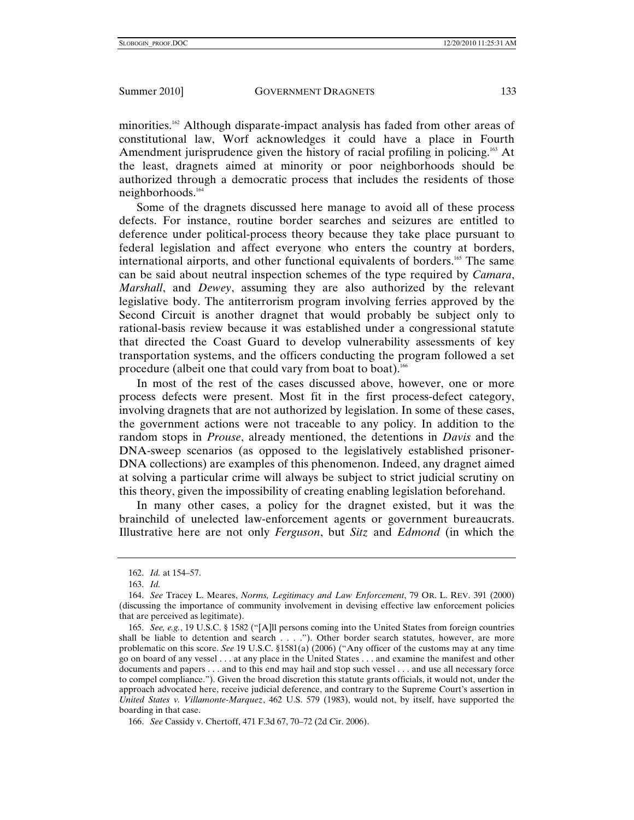minorities.162 Although disparate-impact analysis has faded from other areas of constitutional law, Worf acknowledges it could have a place in Fourth Amendment jurisprudence given the history of racial profiling in policing.<sup>163</sup> At the least, dragnets aimed at minority or poor neighborhoods should be authorized through a democratic process that includes the residents of those neighborhoods.164

Some of the dragnets discussed here manage to avoid all of these process defects. For instance, routine border searches and seizures are entitled to deference under political-process theory because they take place pursuant to federal legislation and affect everyone who enters the country at borders, international airports, and other functional equivalents of borders.165 The same can be said about neutral inspection schemes of the type required by *Camara*, *Marshall*, and *Dewey*, assuming they are also authorized by the relevant legislative body. The antiterrorism program involving ferries approved by the Second Circuit is another dragnet that would probably be subject only to rational-basis review because it was established under a congressional statute that directed the Coast Guard to develop vulnerability assessments of key transportation systems, and the officers conducting the program followed a set procedure (albeit one that could vary from boat to boat).<sup>166</sup>

In most of the rest of the cases discussed above, however, one or more process defects were present. Most fit in the first process-defect category, involving dragnets that are not authorized by legislation. In some of these cases, the government actions were not traceable to any policy. In addition to the random stops in *Prouse*, already mentioned, the detentions in *Davis* and the DNA-sweep scenarios (as opposed to the legislatively established prisoner-DNA collections) are examples of this phenomenon. Indeed, any dragnet aimed at solving a particular crime will always be subject to strict judicial scrutiny on this theory, given the impossibility of creating enabling legislation beforehand.

In many other cases, a policy for the dragnet existed, but it was the brainchild of unelected law-enforcement agents or government bureaucrats. Illustrative here are not only *Ferguson*, but *Sitz* and *Edmond* (in which the

166. *See* Cassidy v. Chertoff, 471 F.3d 67, 70–72 (2d Cir. 2006).

<sup>162.</sup> *Id.* at 154–57.

<sup>163.</sup> *Id.*

<sup>164.</sup> *See* Tracey L. Meares, *Norms, Legitimacy and Law Enforcement*, 79 OR. L. REV. 391 (2000) (discussing the importance of community involvement in devising effective law enforcement policies that are perceived as legitimate).

<sup>165.</sup> *See, e.g.*, 19 U.S.C. § 1582 ("[A]ll persons coming into the United States from foreign countries shall be liable to detention and search . . . ."). Other border search statutes, however, are more problematic on this score. *See* 19 U.S.C. §1581(a) (2006) ("Any officer of the customs may at any time go on board of any vessel . . . at any place in the United States . . . and examine the manifest and other documents and papers . . . and to this end may hail and stop such vessel . . . and use all necessary force to compel compliance."). Given the broad discretion this statute grants officials, it would not, under the approach advocated here, receive judicial deference, and contrary to the Supreme Court's assertion in *United States v. Villamonte-Marquez*, 462 U.S. 579 (1983), would not, by itself, have supported the boarding in that case.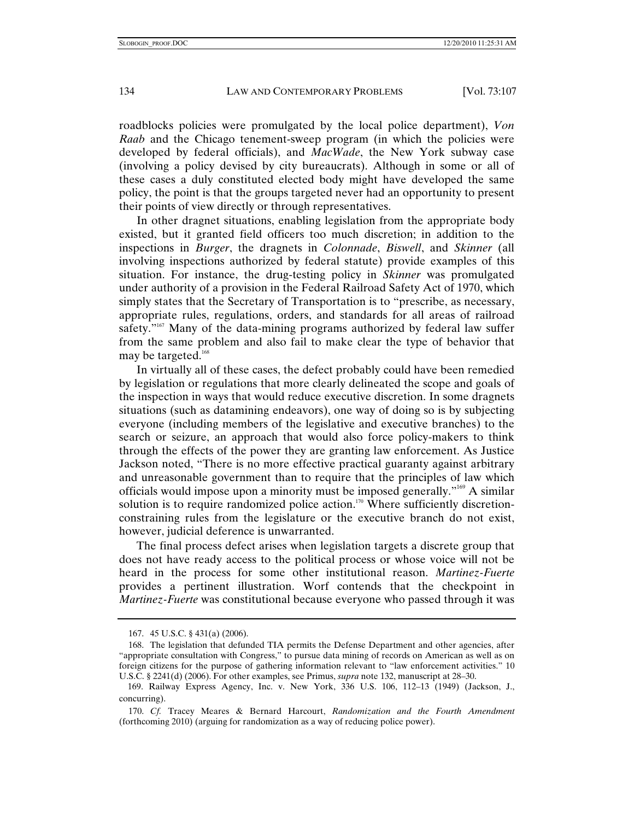roadblocks policies were promulgated by the local police department), *Von Raab* and the Chicago tenement-sweep program (in which the policies were developed by federal officials), and *MacWade*, the New York subway case (involving a policy devised by city bureaucrats). Although in some or all of these cases a duly constituted elected body might have developed the same policy, the point is that the groups targeted never had an opportunity to present their points of view directly or through representatives.

In other dragnet situations, enabling legislation from the appropriate body existed, but it granted field officers too much discretion; in addition to the inspections in *Burger*, the dragnets in *Colonnade*, *Biswell*, and *Skinner* (all involving inspections authorized by federal statute) provide examples of this situation. For instance, the drug-testing policy in *Skinner* was promulgated under authority of a provision in the Federal Railroad Safety Act of 1970, which simply states that the Secretary of Transportation is to "prescribe, as necessary, appropriate rules, regulations, orders, and standards for all areas of railroad safety."<sup>167</sup> Many of the data-mining programs authorized by federal law suffer from the same problem and also fail to make clear the type of behavior that may be targeted.<sup>168</sup>

In virtually all of these cases, the defect probably could have been remedied by legislation or regulations that more clearly delineated the scope and goals of the inspection in ways that would reduce executive discretion. In some dragnets situations (such as datamining endeavors), one way of doing so is by subjecting everyone (including members of the legislative and executive branches) to the search or seizure, an approach that would also force policy-makers to think through the effects of the power they are granting law enforcement. As Justice Jackson noted, "There is no more effective practical guaranty against arbitrary and unreasonable government than to require that the principles of law which officials would impose upon a minority must be imposed generally."169 A similar solution is to require randomized police action.<sup>170</sup> Where sufficiently discretionconstraining rules from the legislature or the executive branch do not exist, however, judicial deference is unwarranted.

The final process defect arises when legislation targets a discrete group that does not have ready access to the political process or whose voice will not be heard in the process for some other institutional reason. *Martinez-Fuerte* provides a pertinent illustration. Worf contends that the checkpoint in *Martinez-Fuerte* was constitutional because everyone who passed through it was

 <sup>167. 45</sup> U.S.C. § 431(a) (2006).

 <sup>168.</sup> The legislation that defunded TIA permits the Defense Department and other agencies, after "appropriate consultation with Congress," to pursue data mining of records on American as well as on foreign citizens for the purpose of gathering information relevant to "law enforcement activities." 10 U.S.C. § 2241(d) (2006). For other examples, see Primus, *supra* note 132, manuscript at 28–30.

 <sup>169.</sup> Railway Express Agency, Inc. v. New York, 336 U.S. 106, 112–13 (1949) (Jackson, J., concurring).

<sup>170.</sup> *Cf.* Tracey Meares & Bernard Harcourt, *Randomization and the Fourth Amendment* (forthcoming 2010) (arguing for randomization as a way of reducing police power).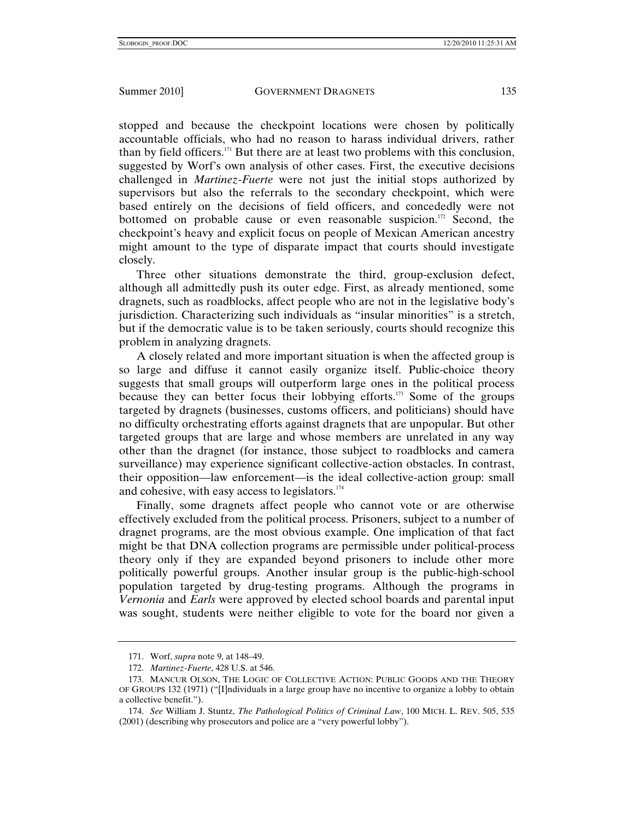stopped and because the checkpoint locations were chosen by politically accountable officials, who had no reason to harass individual drivers, rather than by field officers.171 But there are at least two problems with this conclusion, suggested by Worf's own analysis of other cases. First, the executive decisions challenged in *Martinez-Fuerte* were not just the initial stops authorized by supervisors but also the referrals to the secondary checkpoint, which were based entirely on the decisions of field officers, and concededly were not bottomed on probable cause or even reasonable suspicion.<sup>172</sup> Second, the checkpoint's heavy and explicit focus on people of Mexican American ancestry might amount to the type of disparate impact that courts should investigate closely.

Three other situations demonstrate the third, group-exclusion defect, although all admittedly push its outer edge. First, as already mentioned, some dragnets, such as roadblocks, affect people who are not in the legislative body's jurisdiction. Characterizing such individuals as "insular minorities" is a stretch, but if the democratic value is to be taken seriously, courts should recognize this problem in analyzing dragnets.

A closely related and more important situation is when the affected group is so large and diffuse it cannot easily organize itself. Public-choice theory suggests that small groups will outperform large ones in the political process because they can better focus their lobbying efforts.173 Some of the groups targeted by dragnets (businesses, customs officers, and politicians) should have no difficulty orchestrating efforts against dragnets that are unpopular. But other targeted groups that are large and whose members are unrelated in any way other than the dragnet (for instance, those subject to roadblocks and camera surveillance) may experience significant collective-action obstacles. In contrast, their opposition—law enforcement—is the ideal collective-action group: small and cohesive, with easy access to legislators.<sup>174</sup>

Finally, some dragnets affect people who cannot vote or are otherwise effectively excluded from the political process. Prisoners, subject to a number of dragnet programs, are the most obvious example. One implication of that fact might be that DNA collection programs are permissible under political-process theory only if they are expanded beyond prisoners to include other more politically powerful groups. Another insular group is the public-high-school population targeted by drug-testing programs. Although the programs in *Vernonia* and *Earls* were approved by elected school boards and parental input was sought, students were neither eligible to vote for the board nor given a

 <sup>171.</sup> Worf, *supra* note 9, at 148–49.

<sup>172.</sup> *Martinez-Fuerte*, 428 U.S. at 546.

 <sup>173.</sup> MANCUR OLSON, THE LOGIC OF COLLECTIVE ACTION: PUBLIC GOODS AND THE THEORY OF GROUPS 132 (1971) ("[I]ndividuals in a large group have no incentive to organize a lobby to obtain a collective benefit.").

<sup>174.</sup> *See* William J. Stuntz, *The Pathological Politics of Criminal Law*, 100 MICH. L. REV. 505, 535 (2001) (describing why prosecutors and police are a "very powerful lobby").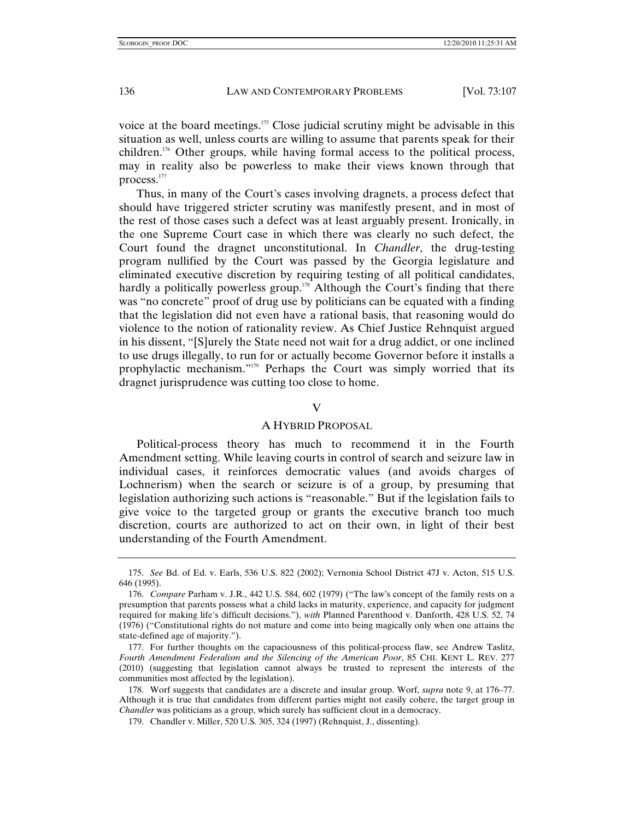voice at the board meetings.<sup>175</sup> Close judicial scrutiny might be advisable in this situation as well, unless courts are willing to assume that parents speak for their children.176 Other groups, while having formal access to the political process, may in reality also be powerless to make their views known through that process.177

Thus, in many of the Court's cases involving dragnets, a process defect that should have triggered stricter scrutiny was manifestly present, and in most of the rest of those cases such a defect was at least arguably present. Ironically, in the one Supreme Court case in which there was clearly no such defect, the Court found the dragnet unconstitutional. In *Chandler*, the drug-testing program nullified by the Court was passed by the Georgia legislature and eliminated executive discretion by requiring testing of all political candidates, hardly a politically powerless group.<sup>178</sup> Although the Court's finding that there was "no concrete" proof of drug use by politicians can be equated with a finding that the legislation did not even have a rational basis, that reasoning would do violence to the notion of rationality review. As Chief Justice Rehnquist argued in his dissent, "[S]urely the State need not wait for a drug addict, or one inclined to use drugs illegally, to run for or actually become Governor before it installs a prophylactic mechanism."179 Perhaps the Court was simply worried that its dragnet jurisprudence was cutting too close to home.

### V

# A HYBRID PROPOSAL

Political-process theory has much to recommend it in the Fourth Amendment setting. While leaving courts in control of search and seizure law in individual cases, it reinforces democratic values (and avoids charges of Lochnerism) when the search or seizure is of a group, by presuming that legislation authorizing such actions is "reasonable." But if the legislation fails to give voice to the targeted group or grants the executive branch too much discretion, courts are authorized to act on their own, in light of their best understanding of the Fourth Amendment.

<sup>175.</sup> *See* Bd. of Ed. v. Earls, 536 U.S. 822 (2002); Vernonia School District 47J v. Acton, 515 U.S. 646 (1995).

<sup>176.</sup> *Compare* Parham v. J.R., 442 U.S. 584, 602 (1979) ("The law's concept of the family rests on a presumption that parents possess what a child lacks in maturity, experience, and capacity for judgment required for making life's difficult decisions."), *with* Planned Parenthood v. Danforth, 428 U.S. 52, 74 (1976) ("Constitutional rights do not mature and come into being magically only when one attains the state-defined age of majority.").

 <sup>177.</sup> For further thoughts on the capaciousness of this political-process flaw, see Andrew Taslitz, *Fourth Amendment Federalism and the Silencing of the American Poor*, 85 CHI. KENT L. REV. 277 (2010) (suggesting that legislation cannot always be trusted to represent the interests of the communities most affected by the legislation).

 <sup>178.</sup> Worf suggests that candidates are a discrete and insular group. Worf, *supra* note 9, at 176–77. Although it is true that candidates from different parties might not easily cohere, the target group in *Chandler* was politicians as a group, which surely has sufficient clout in a democracy.

 <sup>179.</sup> Chandler v. Miller, 520 U.S. 305, 324 (1997) (Rehnquist, J., dissenting).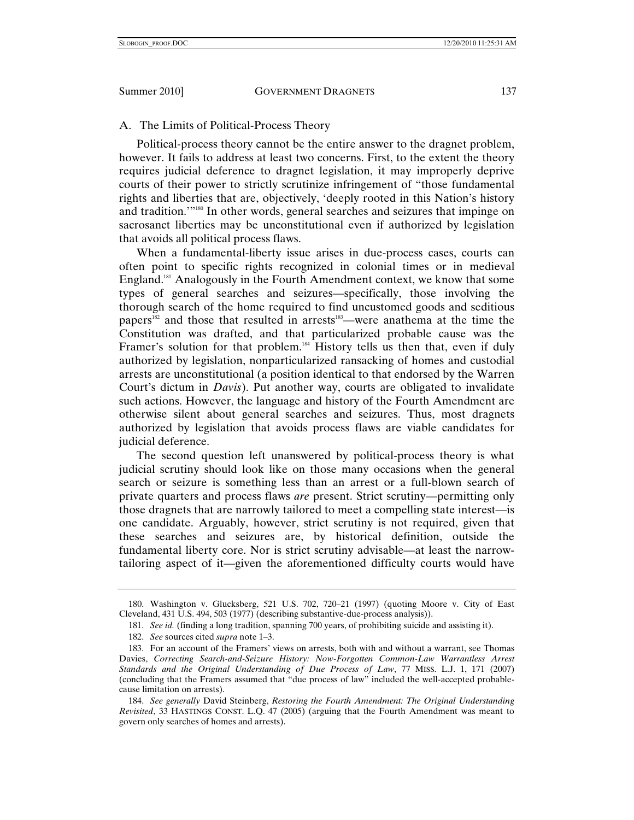A. The Limits of Political-Process Theory

Political-process theory cannot be the entire answer to the dragnet problem, however. It fails to address at least two concerns. First, to the extent the theory requires judicial deference to dragnet legislation, it may improperly deprive courts of their power to strictly scrutinize infringement of "those fundamental rights and liberties that are, objectively, 'deeply rooted in this Nation's history and tradition.'"180 In other words, general searches and seizures that impinge on sacrosanct liberties may be unconstitutional even if authorized by legislation that avoids all political process flaws.

When a fundamental-liberty issue arises in due-process cases, courts can often point to specific rights recognized in colonial times or in medieval England.181 Analogously in the Fourth Amendment context, we know that some types of general searches and seizures—specifically, those involving the thorough search of the home required to find uncustomed goods and seditious papers<sup>182</sup> and those that resulted in arrests<sup>183</sup>—were anathema at the time the Constitution was drafted, and that particularized probable cause was the Framer's solution for that problem.<sup>184</sup> History tells us then that, even if duly authorized by legislation, nonparticularized ransacking of homes and custodial arrests are unconstitutional (a position identical to that endorsed by the Warren Court's dictum in *Davis*). Put another way, courts are obligated to invalidate such actions. However, the language and history of the Fourth Amendment are otherwise silent about general searches and seizures. Thus, most dragnets authorized by legislation that avoids process flaws are viable candidates for judicial deference.

The second question left unanswered by political-process theory is what judicial scrutiny should look like on those many occasions when the general search or seizure is something less than an arrest or a full-blown search of private quarters and process flaws *are* present. Strict scrutiny—permitting only those dragnets that are narrowly tailored to meet a compelling state interest—is one candidate. Arguably, however, strict scrutiny is not required, given that these searches and seizures are, by historical definition, outside the fundamental liberty core. Nor is strict scrutiny advisable—at least the narrowtailoring aspect of it—given the aforementioned difficulty courts would have

 <sup>180.</sup> Washington v. Glucksberg, 521 U.S. 702, 720–21 (1997) (quoting Moore v. City of East Cleveland, 431 U.S. 494, 503 (1977) (describing substantive-due-process analysis)).

<sup>181.</sup> *See id.* (finding a long tradition, spanning 700 years, of prohibiting suicide and assisting it).

<sup>182.</sup> *See* sources cited *supra* note 1–3.

 <sup>183.</sup> For an account of the Framers' views on arrests, both with and without a warrant, see Thomas Davies, *Correcting Search-and-Seizure History: Now-Forgotten Common-Law Warrantless Arrest Standards and the Original Understanding of Due Process of Law*, 77 MISS. L.J. 1, 171 (2007) (concluding that the Framers assumed that "due process of law" included the well-accepted probablecause limitation on arrests).

<sup>184.</sup> *See generally* David Steinberg, *Restoring the Fourth Amendment: The Original Understanding Revisited*, 33 HASTINGS CONST. L.Q. 47 (2005) (arguing that the Fourth Amendment was meant to govern only searches of homes and arrests).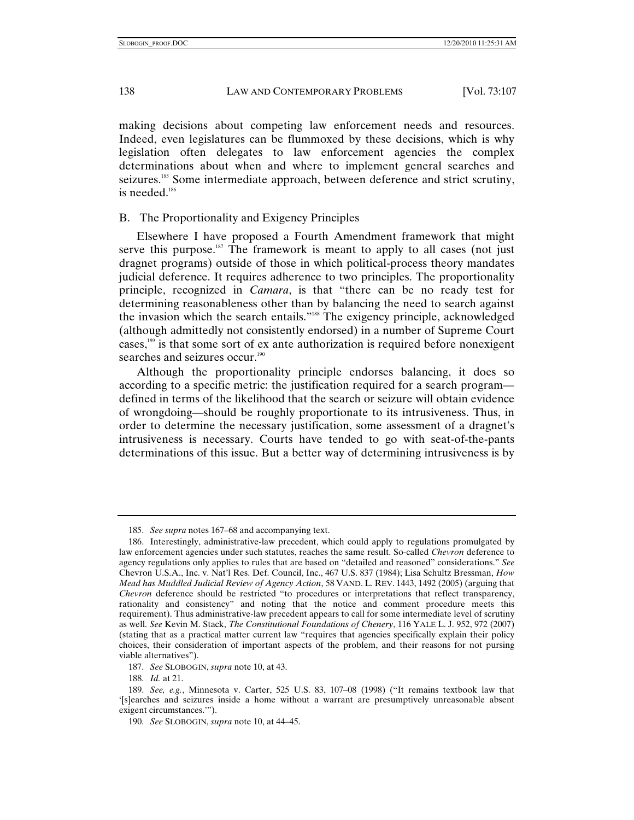making decisions about competing law enforcement needs and resources. Indeed, even legislatures can be flummoxed by these decisions, which is why legislation often delegates to law enforcement agencies the complex determinations about when and where to implement general searches and seizures.<sup>185</sup> Some intermediate approach, between deference and strict scrutiny, is needed.<sup>186</sup>

# B. The Proportionality and Exigency Principles

Elsewhere I have proposed a Fourth Amendment framework that might serve this purpose.<sup>187</sup> The framework is meant to apply to all cases (not just dragnet programs) outside of those in which political-process theory mandates judicial deference. It requires adherence to two principles. The proportionality principle, recognized in *Camara*, is that "there can be no ready test for determining reasonableness other than by balancing the need to search against the invasion which the search entails."188 The exigency principle, acknowledged (although admittedly not consistently endorsed) in a number of Supreme Court cases,189 is that some sort of ex ante authorization is required before nonexigent searches and seizures occur.<sup>190</sup>

Although the proportionality principle endorses balancing, it does so according to a specific metric: the justification required for a search program defined in terms of the likelihood that the search or seizure will obtain evidence of wrongdoing—should be roughly proportionate to its intrusiveness. Thus, in order to determine the necessary justification, some assessment of a dragnet's intrusiveness is necessary. Courts have tended to go with seat-of-the-pants determinations of this issue. But a better way of determining intrusiveness is by

<sup>185.</sup> *See supra* notes 167–68 and accompanying text.

 <sup>186.</sup> Interestingly, administrative-law precedent, which could apply to regulations promulgated by law enforcement agencies under such statutes, reaches the same result. So-called *Chevron* deference to agency regulations only applies to rules that are based on "detailed and reasoned" considerations." *See* Chevron U.S.A., Inc. v. Nat'l Res. Def. Council, Inc., 467 U.S. 837 (1984); Lisa Schultz Bressman, *How Mead has Muddled Judicial Review of Agency Action*, 58 VAND. L. REV. 1443, 1492 (2005) (arguing that *Chevron* deference should be restricted "to procedures or interpretations that reflect transparency, rationality and consistency" and noting that the notice and comment procedure meets this requirement). Thus administrative-law precedent appears to call for some intermediate level of scrutiny as well. *See* Kevin M. Stack, *The Constitutional Foundations of Chenery*, 116 YALE L. J. 952, 972 (2007) (stating that as a practical matter current law "requires that agencies specifically explain their policy choices, their consideration of important aspects of the problem, and their reasons for not pursing viable alternatives").

<sup>187.</sup> *See* SLOBOGIN, *supra* note 10, at 43.

<sup>188.</sup> *Id.* at 21.

<sup>189.</sup> *See, e.g.*, Minnesota v. Carter, 525 U.S. 83, 107–08 (1998) ("It remains textbook law that '[s]earches and seizures inside a home without a warrant are presumptively unreasonable absent exigent circumstances.'").

<sup>190.</sup> *See* SLOBOGIN, *supra* note 10, at 44–45.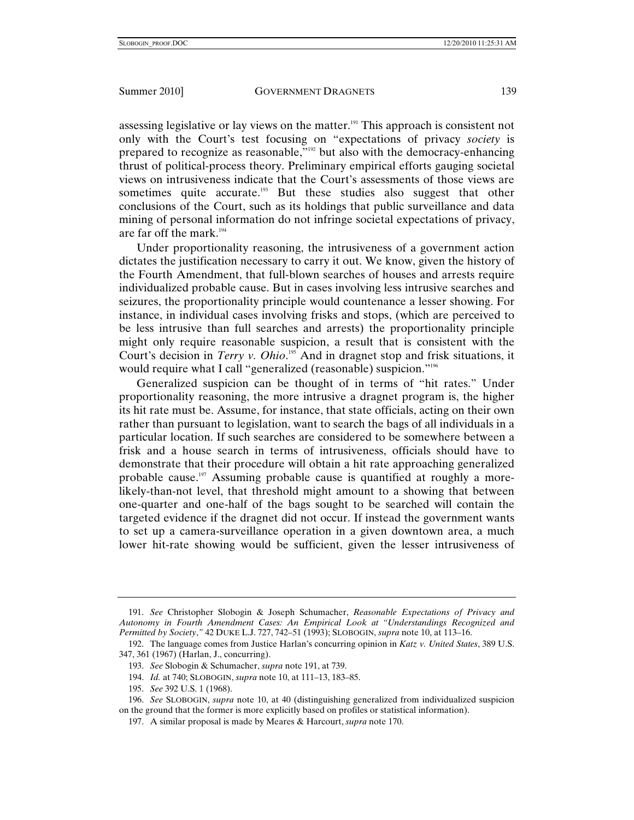assessing legislative or lay views on the matter.<sup>191</sup> This approach is consistent not only with the Court's test focusing on "expectations of privacy *society* is prepared to recognize as reasonable,"192 but also with the democracy-enhancing thrust of political-process theory. Preliminary empirical efforts gauging societal views on intrusiveness indicate that the Court's assessments of those views are sometimes quite accurate.<sup>193</sup> But these studies also suggest that other conclusions of the Court, such as its holdings that public surveillance and data mining of personal information do not infringe societal expectations of privacy, are far off the mark. $194$ 

Under proportionality reasoning, the intrusiveness of a government action dictates the justification necessary to carry it out. We know, given the history of the Fourth Amendment, that full-blown searches of houses and arrests require individualized probable cause. But in cases involving less intrusive searches and seizures, the proportionality principle would countenance a lesser showing. For instance, in individual cases involving frisks and stops, (which are perceived to be less intrusive than full searches and arrests) the proportionality principle might only require reasonable suspicion, a result that is consistent with the Court's decision in *Terry v. Ohio*.<sup>195</sup> And in dragnet stop and frisk situations, it would require what I call "generalized (reasonable) suspicion."<sup>196</sup>

Generalized suspicion can be thought of in terms of "hit rates." Under proportionality reasoning, the more intrusive a dragnet program is, the higher its hit rate must be. Assume, for instance, that state officials, acting on their own rather than pursuant to legislation, want to search the bags of all individuals in a particular location. If such searches are considered to be somewhere between a frisk and a house search in terms of intrusiveness, officials should have to demonstrate that their procedure will obtain a hit rate approaching generalized probable cause.<sup>197</sup> Assuming probable cause is quantified at roughly a morelikely-than-not level, that threshold might amount to a showing that between one-quarter and one-half of the bags sought to be searched will contain the targeted evidence if the dragnet did not occur. If instead the government wants to set up a camera-surveillance operation in a given downtown area, a much lower hit-rate showing would be sufficient, given the lesser intrusiveness of

<sup>191.</sup> *See* Christopher Slobogin & Joseph Schumacher, *Reasonable Expectations of Privacy and Autonomy in Fourth Amendment Cases: An Empirical Look at "Understandings Recognized and Permitted by Society*,*"* 42 DUKE L.J. 727, 742–51 (1993); SLOBOGIN, *supra* note 10, at 113–16.

 <sup>192.</sup> The language comes from Justice Harlan's concurring opinion in *Katz v. United States*, 389 U.S. 347, 361 (1967) (Harlan, J., concurring).

<sup>193.</sup> *See* Slobogin & Schumacher, *supra* note 191, at 739.

<sup>194.</sup> *Id.* at 740; SLOBOGIN, *supra* note 10, at 111–13, 183–85.

<sup>195.</sup> *See* 392 U.S. 1 (1968).

<sup>196.</sup> *See* SLOBOGIN, *supra* note 10, at 40 (distinguishing generalized from individualized suspicion on the ground that the former is more explicitly based on profiles or statistical information).

 <sup>197.</sup> A similar proposal is made by Meares & Harcourt, *supra* note 170.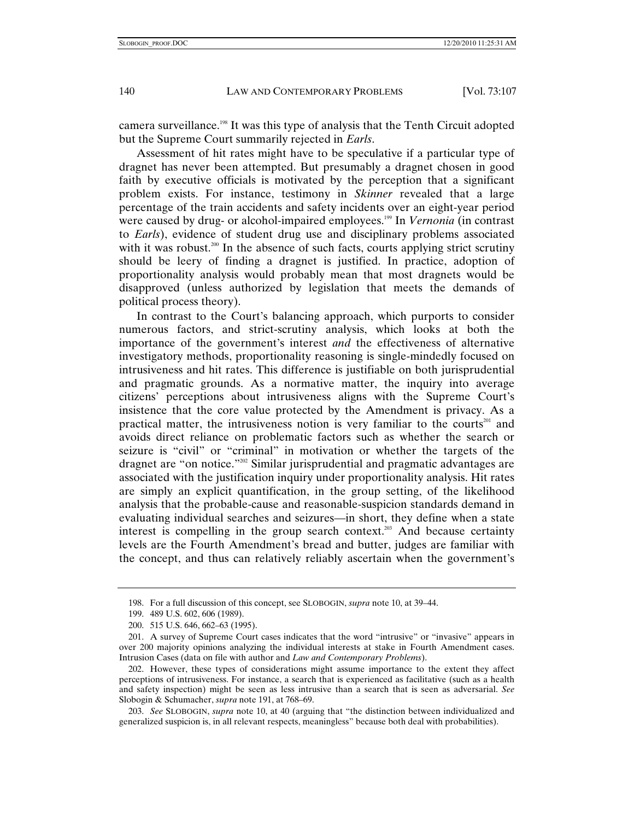camera surveillance.<sup>198</sup> It was this type of analysis that the Tenth Circuit adopted but the Supreme Court summarily rejected in *Earls*.

Assessment of hit rates might have to be speculative if a particular type of dragnet has never been attempted. But presumably a dragnet chosen in good faith by executive officials is motivated by the perception that a significant problem exists. For instance, testimony in *Skinner* revealed that a large percentage of the train accidents and safety incidents over an eight-year period were caused by drug- or alcohol-impaired employees.<sup>199</sup> In *Vernonia* (in contrast to *Earls*), evidence of student drug use and disciplinary problems associated with it was robust.<sup>200</sup> In the absence of such facts, courts applying strict scrutiny should be leery of finding a dragnet is justified. In practice, adoption of proportionality analysis would probably mean that most dragnets would be disapproved (unless authorized by legislation that meets the demands of political process theory).

In contrast to the Court's balancing approach, which purports to consider numerous factors, and strict-scrutiny analysis, which looks at both the importance of the government's interest *and* the effectiveness of alternative investigatory methods, proportionality reasoning is single-mindedly focused on intrusiveness and hit rates. This difference is justifiable on both jurisprudential and pragmatic grounds. As a normative matter, the inquiry into average citizens' perceptions about intrusiveness aligns with the Supreme Court's insistence that the core value protected by the Amendment is privacy. As a practical matter, the intrusiveness notion is very familiar to the courts<sup>201</sup> and avoids direct reliance on problematic factors such as whether the search or seizure is "civil" or "criminal" in motivation or whether the targets of the dragnet are "on notice."<sup>202</sup> Similar jurisprudential and pragmatic advantages are associated with the justification inquiry under proportionality analysis. Hit rates are simply an explicit quantification, in the group setting, of the likelihood analysis that the probable-cause and reasonable-suspicion standards demand in evaluating individual searches and seizures—in short, they define when a state interest is compelling in the group search context.<sup>203</sup> And because certainty levels are the Fourth Amendment's bread and butter, judges are familiar with the concept, and thus can relatively reliably ascertain when the government's

 <sup>198.</sup> For a full discussion of this concept, see SLOBOGIN, *supra* note 10, at 39–44.

 <sup>199. 489</sup> U.S. 602, 606 (1989).

 <sup>200. 515</sup> U.S. 646, 662–63 (1995).

 <sup>201.</sup> A survey of Supreme Court cases indicates that the word "intrusive" or "invasive" appears in over 200 majority opinions analyzing the individual interests at stake in Fourth Amendment cases. Intrusion Cases (data on file with author and *Law and Contemporary Problems*).

 <sup>202.</sup> However, these types of considerations might assume importance to the extent they affect perceptions of intrusiveness. For instance, a search that is experienced as facilitative (such as a health and safety inspection) might be seen as less intrusive than a search that is seen as adversarial. *See* Slobogin & Schumacher, *supra* note 191, at 768–69.

<sup>203.</sup> *See* SLOBOGIN, *supra* note 10, at 40 (arguing that "the distinction between individualized and generalized suspicion is, in all relevant respects, meaningless" because both deal with probabilities).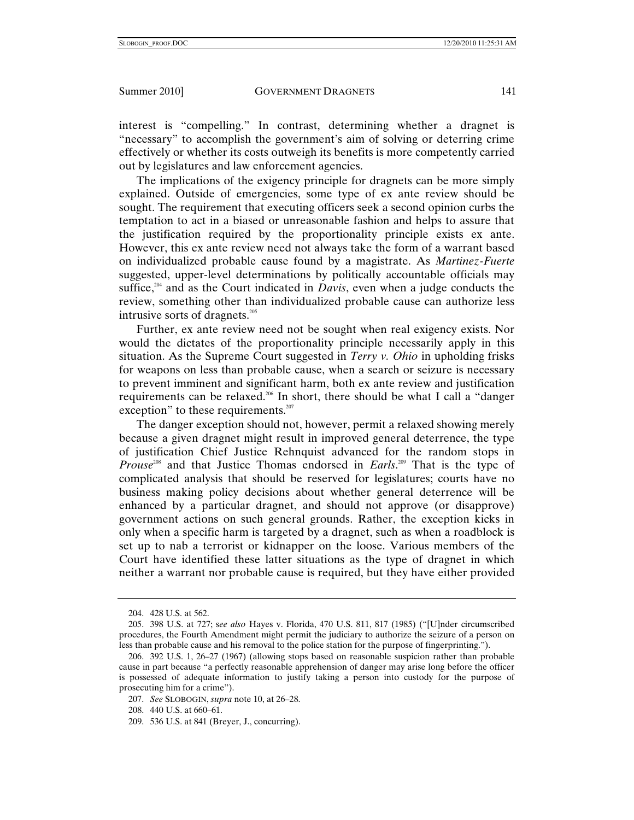interest is "compelling." In contrast, determining whether a dragnet is "necessary" to accomplish the government's aim of solving or deterring crime effectively or whether its costs outweigh its benefits is more competently carried out by legislatures and law enforcement agencies.

The implications of the exigency principle for dragnets can be more simply explained. Outside of emergencies, some type of ex ante review should be sought. The requirement that executing officers seek a second opinion curbs the temptation to act in a biased or unreasonable fashion and helps to assure that the justification required by the proportionality principle exists ex ante. However, this ex ante review need not always take the form of a warrant based on individualized probable cause found by a magistrate. As *Martinez-Fuerte* suggested, upper-level determinations by politically accountable officials may suffice,<sup>204</sup> and as the Court indicated in *Davis*, even when a judge conducts the review, something other than individualized probable cause can authorize less intrusive sorts of dragnets.<sup>205</sup>

Further, ex ante review need not be sought when real exigency exists. Nor would the dictates of the proportionality principle necessarily apply in this situation. As the Supreme Court suggested in *Terry v. Ohio* in upholding frisks for weapons on less than probable cause, when a search or seizure is necessary to prevent imminent and significant harm, both ex ante review and justification requirements can be relaxed.206 In short, there should be what I call a "danger exception" to these requirements.<sup>207</sup>

The danger exception should not, however, permit a relaxed showing merely because a given dragnet might result in improved general deterrence, the type of justification Chief Justice Rehnquist advanced for the random stops in *Prouse*208 and that Justice Thomas endorsed in *Earls*. 209 That is the type of complicated analysis that should be reserved for legislatures; courts have no business making policy decisions about whether general deterrence will be enhanced by a particular dragnet, and should not approve (or disapprove) government actions on such general grounds. Rather, the exception kicks in only when a specific harm is targeted by a dragnet, such as when a roadblock is set up to nab a terrorist or kidnapper on the loose. Various members of the Court have identified these latter situations as the type of dragnet in which neither a warrant nor probable cause is required, but they have either provided

 <sup>204. 428</sup> U.S. at 562.

 <sup>205. 398</sup> U.S. at 727; s*ee also* Hayes v. Florida, 470 U.S. 811, 817 (1985) ("[U]nder circumscribed procedures, the Fourth Amendment might permit the judiciary to authorize the seizure of a person on less than probable cause and his removal to the police station for the purpose of fingerprinting.").

 <sup>206. 392</sup> U.S. 1, 26–27 (1967) (allowing stops based on reasonable suspicion rather than probable cause in part because "a perfectly reasonable apprehension of danger may arise long before the officer is possessed of adequate information to justify taking a person into custody for the purpose of prosecuting him for a crime").

<sup>207.</sup> *See* SLOBOGIN, *supra* note 10, at 26–28.

 <sup>208. 440</sup> U.S. at 660–61.

 <sup>209. 536</sup> U.S. at 841 (Breyer, J., concurring).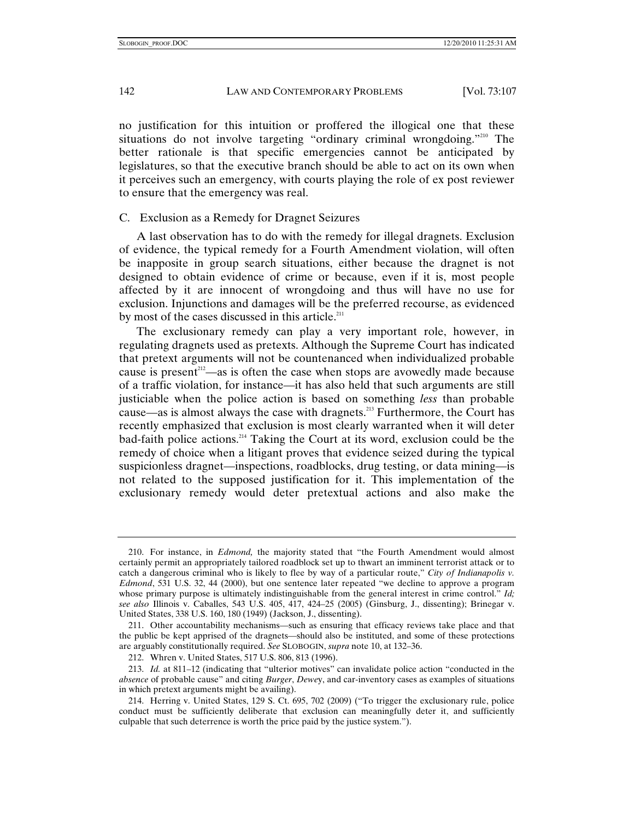no justification for this intuition or proffered the illogical one that these situations do not involve targeting "ordinary criminal wrongdoing."<sup>210</sup> The better rationale is that specific emergencies cannot be anticipated by legislatures, so that the executive branch should be able to act on its own when it perceives such an emergency, with courts playing the role of ex post reviewer to ensure that the emergency was real.

### C. Exclusion as a Remedy for Dragnet Seizures

A last observation has to do with the remedy for illegal dragnets. Exclusion of evidence, the typical remedy for a Fourth Amendment violation, will often be inapposite in group search situations, either because the dragnet is not designed to obtain evidence of crime or because, even if it is, most people affected by it are innocent of wrongdoing and thus will have no use for exclusion. Injunctions and damages will be the preferred recourse, as evidenced by most of the cases discussed in this article.<sup>211</sup>

The exclusionary remedy can play a very important role, however, in regulating dragnets used as pretexts. Although the Supreme Court has indicated that pretext arguments will not be countenanced when individualized probable cause is present<sup>212</sup>—as is often the case when stops are avowedly made because of a traffic violation, for instance—it has also held that such arguments are still justiciable when the police action is based on something *less* than probable cause—as is almost always the case with dragnets.213 Furthermore, the Court has recently emphasized that exclusion is most clearly warranted when it will deter bad-faith police actions.<sup>214</sup> Taking the Court at its word, exclusion could be the remedy of choice when a litigant proves that evidence seized during the typical suspicionless dragnet—inspections, roadblocks, drug testing, or data mining—is not related to the supposed justification for it. This implementation of the exclusionary remedy would deter pretextual actions and also make the

 <sup>210.</sup> For instance, in *Edmond,* the majority stated that "the Fourth Amendment would almost certainly permit an appropriately tailored roadblock set up to thwart an imminent terrorist attack or to catch a dangerous criminal who is likely to flee by way of a particular route," *City of Indianapolis v. Edmond*, 531 U.S. 32, 44 (2000), but one sentence later repeated "we decline to approve a program whose primary purpose is ultimately indistinguishable from the general interest in crime control." *Id; see also* Illinois v. Caballes, 543 U.S. 405, 417, 424–25 (2005) (Ginsburg, J., dissenting); Brinegar v. United States, 338 U.S. 160, 180 (1949) (Jackson, J., dissenting).

 <sup>211.</sup> Other accountability mechanisms—such as ensuring that efficacy reviews take place and that the public be kept apprised of the dragnets—should also be instituted, and some of these protections are arguably constitutionally required. *See* SLOBOGIN, *supra* note 10, at 132–36.

 <sup>212.</sup> Whren v. United States, 517 U.S. 806, 813 (1996).

<sup>213.</sup> *Id.* at 811–12 (indicating that "ulterior motives" can invalidate police action "conducted in the *absence* of probable cause" and citing *Burger*, *Dewe*y, and car-inventory cases as examples of situations in which pretext arguments might be availing).

 <sup>214.</sup> Herring v. United States, 129 S. Ct. 695, 702 (2009) ("To trigger the exclusionary rule, police conduct must be sufficiently deliberate that exclusion can meaningfully deter it, and sufficiently culpable that such deterrence is worth the price paid by the justice system.").